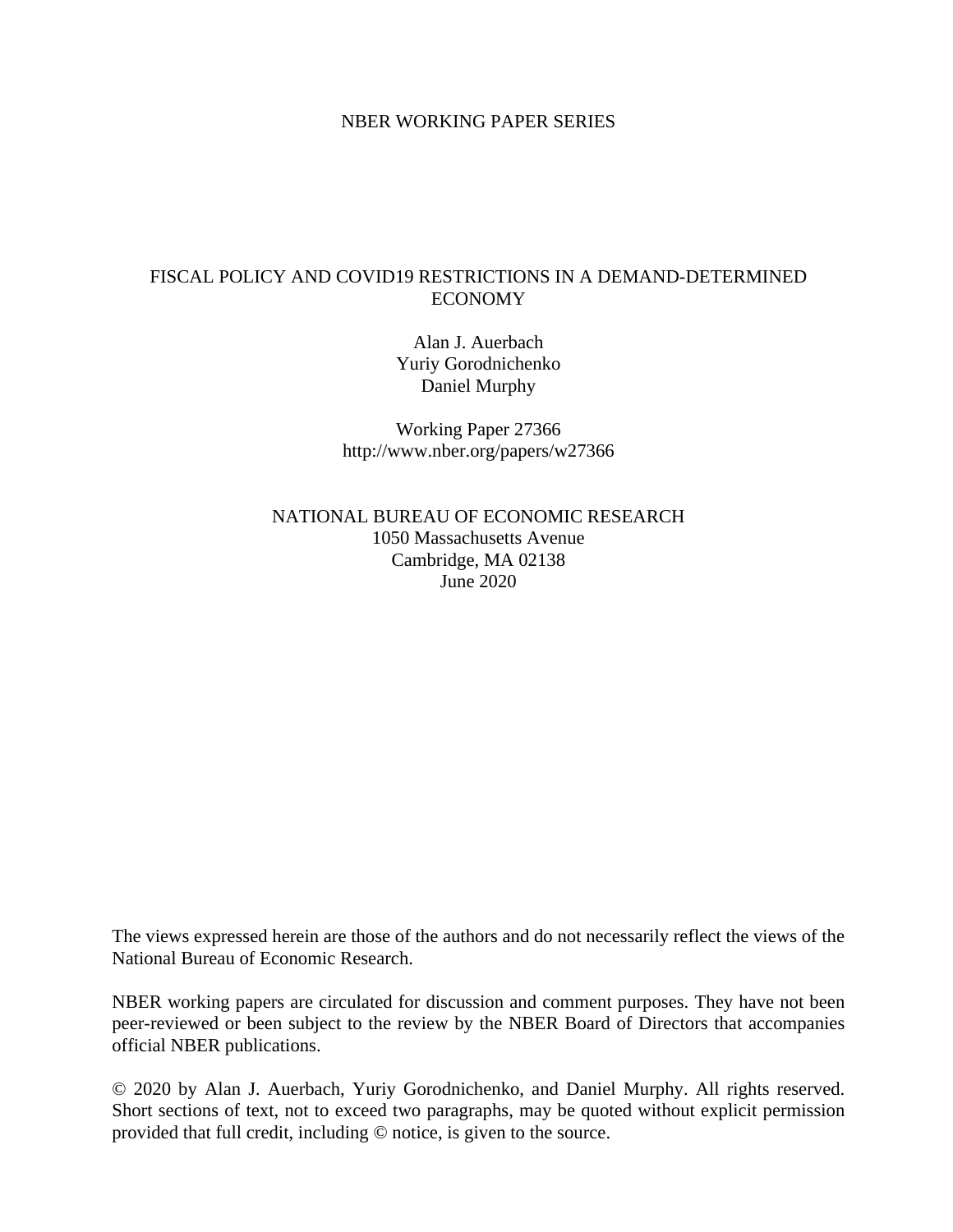# NBER WORKING PAPER SERIES

# FISCAL POLICY AND COVID19 RESTRICTIONS IN A DEMAND-DETERMINED ECONOMY

Alan J. Auerbach Yuriy Gorodnichenko Daniel Murphy

Working Paper 27366 http://www.nber.org/papers/w27366

NATIONAL BUREAU OF ECONOMIC RESEARCH 1050 Massachusetts Avenue Cambridge, MA 02138 June 2020

The views expressed herein are those of the authors and do not necessarily reflect the views of the National Bureau of Economic Research.

NBER working papers are circulated for discussion and comment purposes. They have not been peer-reviewed or been subject to the review by the NBER Board of Directors that accompanies official NBER publications.

© 2020 by Alan J. Auerbach, Yuriy Gorodnichenko, and Daniel Murphy. All rights reserved. Short sections of text, not to exceed two paragraphs, may be quoted without explicit permission provided that full credit, including © notice, is given to the source.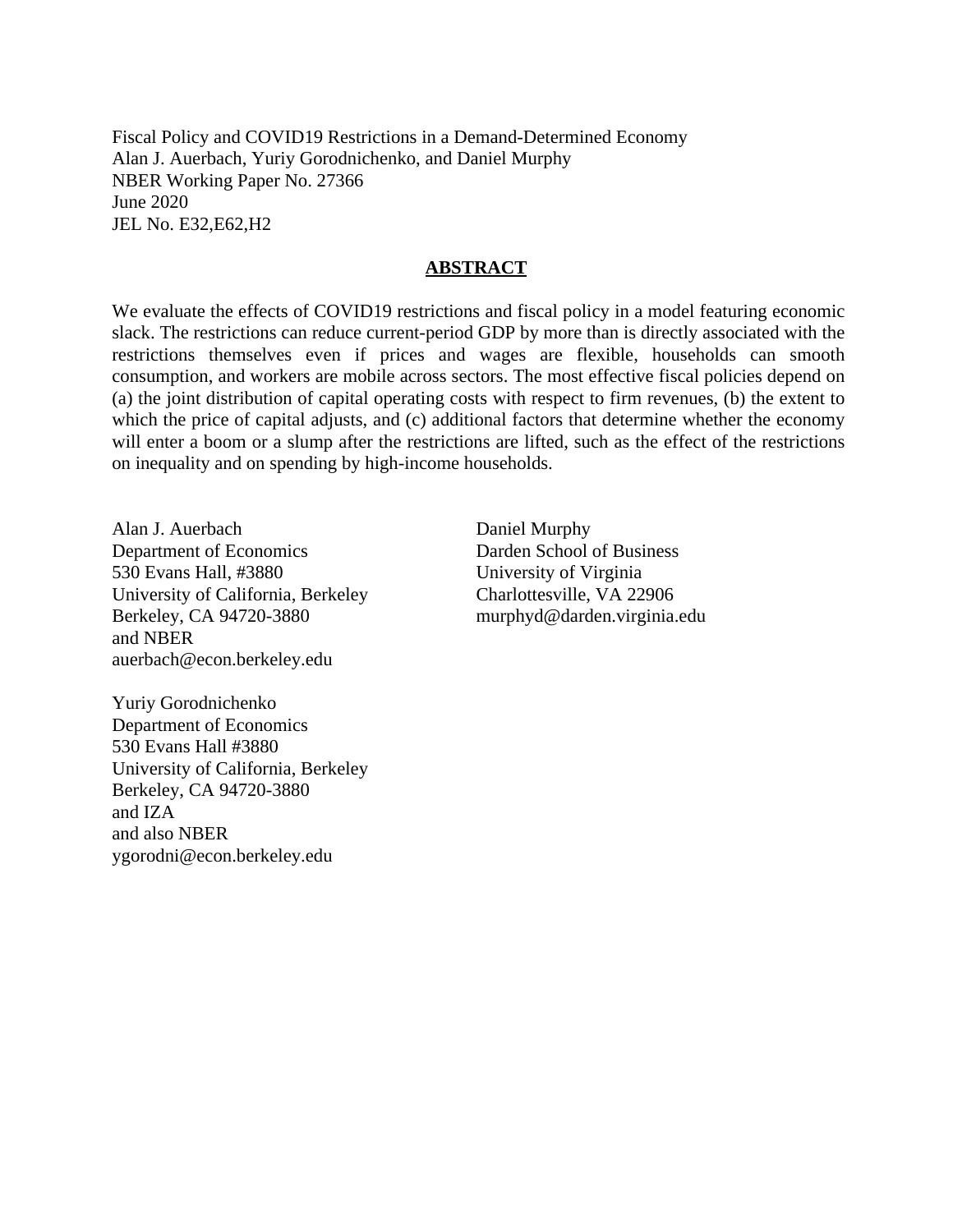Fiscal Policy and COVID19 Restrictions in a Demand-Determined Economy Alan J. Auerbach, Yuriy Gorodnichenko, and Daniel Murphy NBER Working Paper No. 27366 June 2020 JEL No. E32,E62,H2

#### **ABSTRACT**

We evaluate the effects of COVID19 restrictions and fiscal policy in a model featuring economic slack. The restrictions can reduce current-period GDP by more than is directly associated with the restrictions themselves even if prices and wages are flexible, households can smooth consumption, and workers are mobile across sectors. The most effective fiscal policies depend on (a) the joint distribution of capital operating costs with respect to firm revenues, (b) the extent to which the price of capital adjusts, and (c) additional factors that determine whether the economy will enter a boom or a slump after the restrictions are lifted, such as the effect of the restrictions on inequality and on spending by high-income households.

Alan J. Auerbach Department of Economics 530 Evans Hall, #3880 University of California, Berkeley Berkeley, CA 94720-3880 and NBER auerbach@econ.berkeley.edu

Daniel Murphy Darden School of Business University of Virginia Charlottesville, VA 22906 murphyd@darden.virginia.edu

Yuriy Gorodnichenko Department of Economics 530 Evans Hall #3880 University of California, Berkeley Berkeley, CA 94720-3880 and IZA and also NBER ygorodni@econ.berkeley.edu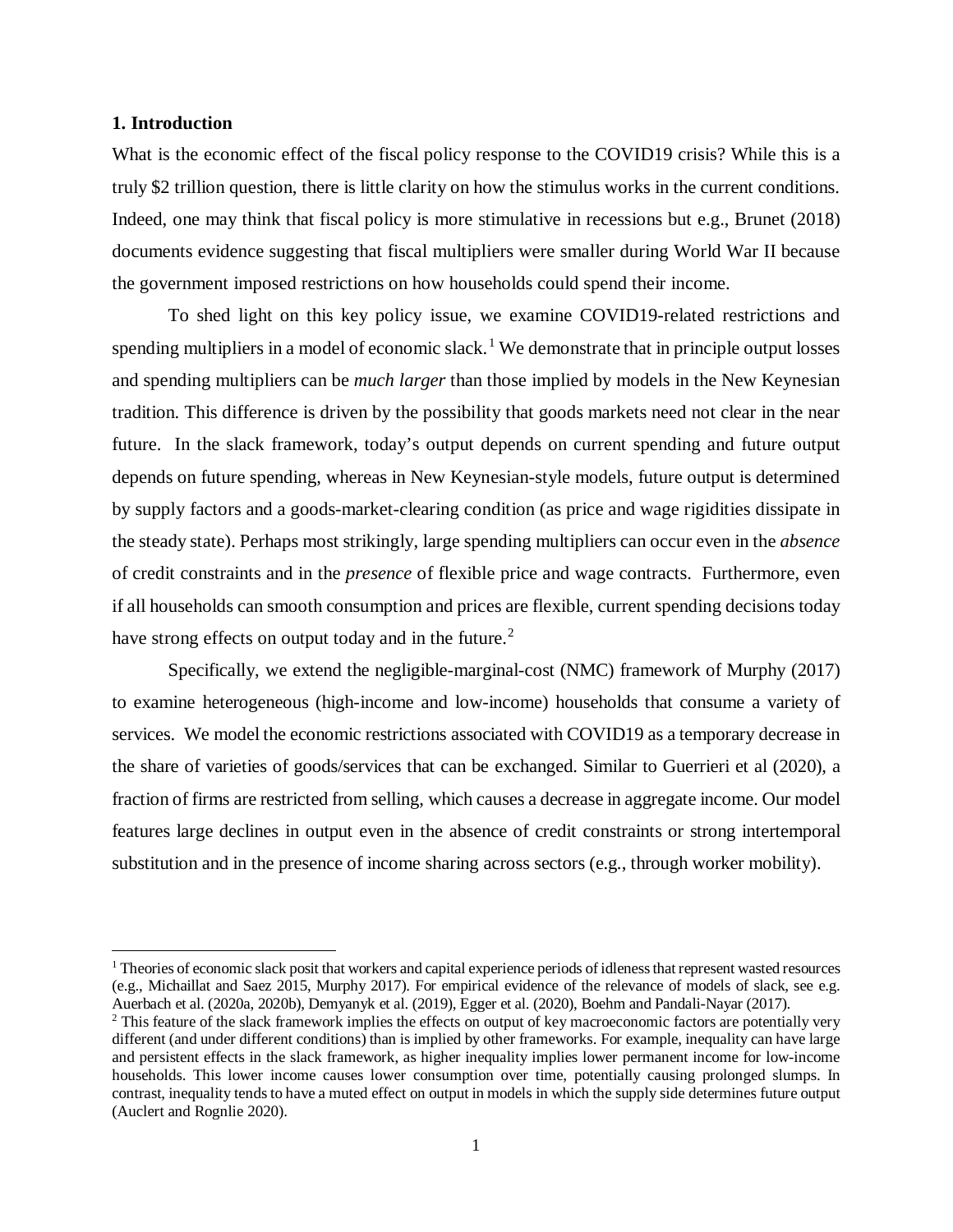### **1. Introduction**

l

What is the economic effect of the fiscal policy response to the COVID19 crisis? While this is a truly \$2 trillion question, there is little clarity on how the stimulus works in the current conditions. Indeed, one may think that fiscal policy is more stimulative in recessions but e.g., Brunet (2018) documents evidence suggesting that fiscal multipliers were smaller during World War II because the government imposed restrictions on how households could spend their income.

To shed light on this key policy issue, we examine COVID19-related restrictions and spending multipliers in a model of economic slack.<sup>[1](#page-2-0)</sup> We demonstrate that in principle output losses and spending multipliers can be *much larger* than those implied by models in the New Keynesian tradition. This difference is driven by the possibility that goods markets need not clear in the near future. In the slack framework, today's output depends on current spending and future output depends on future spending, whereas in New Keynesian-style models, future output is determined by supply factors and a goods-market-clearing condition (as price and wage rigidities dissipate in the steady state). Perhaps most strikingly, large spending multipliers can occur even in the *absence* of credit constraints and in the *presence* of flexible price and wage contracts. Furthermore, even if all households can smooth consumption and prices are flexible, current spending decisions today have strong effects on output today and in the future.<sup>[2](#page-2-1)</sup>

Specifically, we extend the negligible-marginal-cost (NMC) framework of Murphy (2017) to examine heterogeneous (high-income and low-income) households that consume a variety of services. We model the economic restrictions associated with COVID19 as a temporary decrease in the share of varieties of goods/services that can be exchanged. Similar to Guerrieri et al (2020), a fraction of firms are restricted from selling, which causes a decrease in aggregate income. Our model features large declines in output even in the absence of credit constraints or strong intertemporal substitution and in the presence of income sharing across sectors (e.g., through worker mobility).

<span id="page-2-0"></span><sup>&</sup>lt;sup>1</sup> Theories of economic slack posit that workers and capital experience periods of idleness that represent wasted resources (e.g., Michaillat and Saez 2015, Murphy 2017). For empirical evidence of the relevance of models of slack, see e.g.

<span id="page-2-1"></span><sup>&</sup>lt;sup>2</sup> This feature of the slack framework implies the effects on output of key macroeconomic factors are potentially very different (and under different conditions) than is implied by other frameworks. For example, inequality can have large and persistent effects in the slack framework, as higher inequality implies lower permanent income for low-income households. This lower income causes lower consumption over time, potentially causing prolonged slumps. In contrast, inequality tends to have a muted effect on output in models in which the supply side determines future output (Auclert and Rognlie 2020).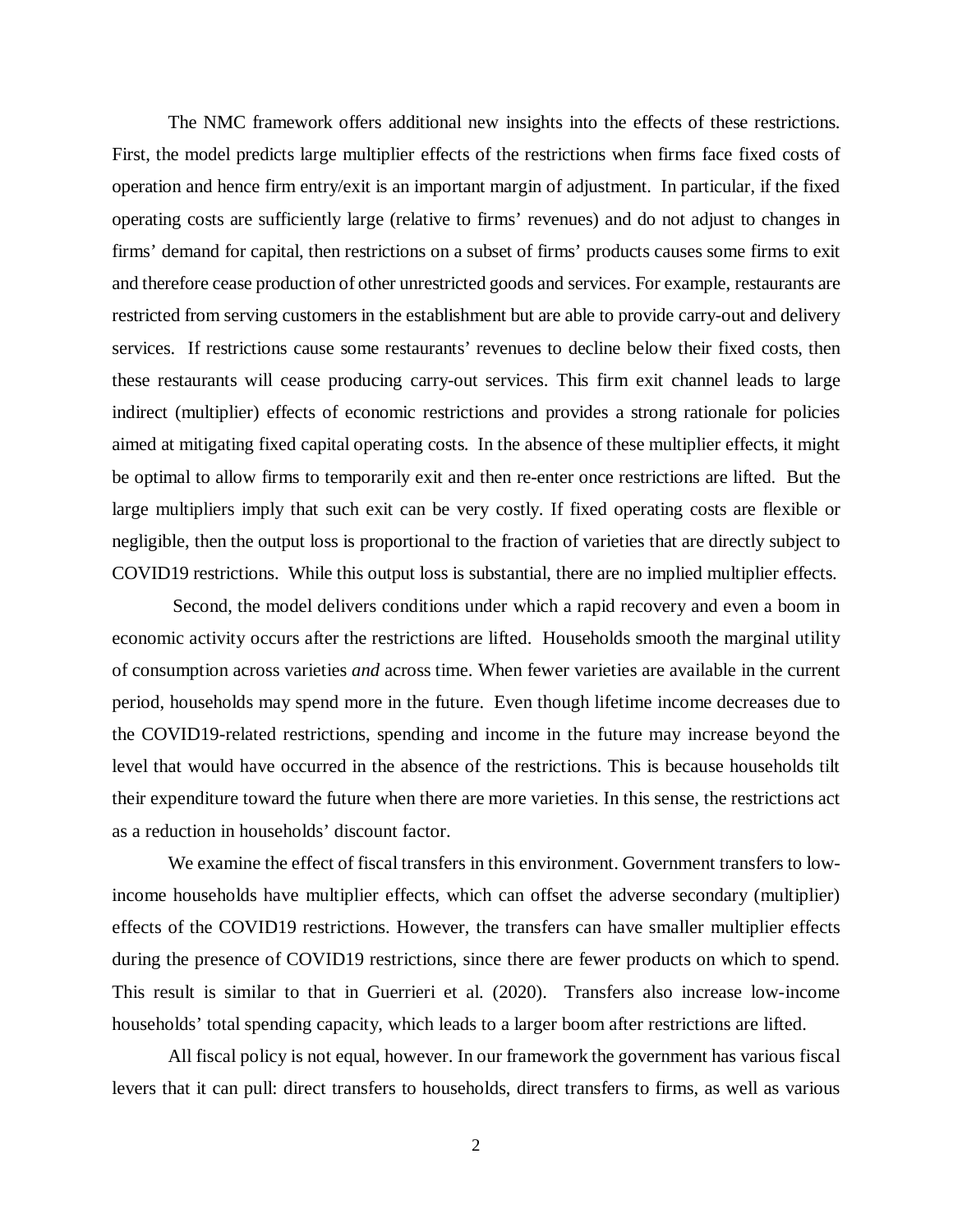The NMC framework offers additional new insights into the effects of these restrictions. First, the model predicts large multiplier effects of the restrictions when firms face fixed costs of operation and hence firm entry/exit is an important margin of adjustment. In particular, if the fixed operating costs are sufficiently large (relative to firms' revenues) and do not adjust to changes in firms' demand for capital, then restrictions on a subset of firms' products causes some firms to exit and therefore cease production of other unrestricted goods and services. For example, restaurants are restricted from serving customers in the establishment but are able to provide carry-out and delivery services. If restrictions cause some restaurants' revenues to decline below their fixed costs, then these restaurants will cease producing carry-out services. This firm exit channel leads to large indirect (multiplier) effects of economic restrictions and provides a strong rationale for policies aimed at mitigating fixed capital operating costs. In the absence of these multiplier effects, it might be optimal to allow firms to temporarily exit and then re-enter once restrictions are lifted. But the large multipliers imply that such exit can be very costly. If fixed operating costs are flexible or negligible, then the output loss is proportional to the fraction of varieties that are directly subject to COVID19 restrictions. While this output loss is substantial, there are no implied multiplier effects.

Second, the model delivers conditions under which a rapid recovery and even a boom in economic activity occurs after the restrictions are lifted. Households smooth the marginal utility of consumption across varieties *and* across time. When fewer varieties are available in the current period, households may spend more in the future. Even though lifetime income decreases due to the COVID19-related restrictions, spending and income in the future may increase beyond the level that would have occurred in the absence of the restrictions. This is because households tilt their expenditure toward the future when there are more varieties. In this sense, the restrictions act as a reduction in households' discount factor.

We examine the effect of fiscal transfers in this environment. Government transfers to lowincome households have multiplier effects, which can offset the adverse secondary (multiplier) effects of the COVID19 restrictions. However, the transfers can have smaller multiplier effects during the presence of COVID19 restrictions, since there are fewer products on which to spend. This result is similar to that in Guerrieri et al. (2020). Transfers also increase low-income households' total spending capacity, which leads to a larger boom after restrictions are lifted.

All fiscal policy is not equal, however. In our framework the government has various fiscal levers that it can pull: direct transfers to households, direct transfers to firms, as well as various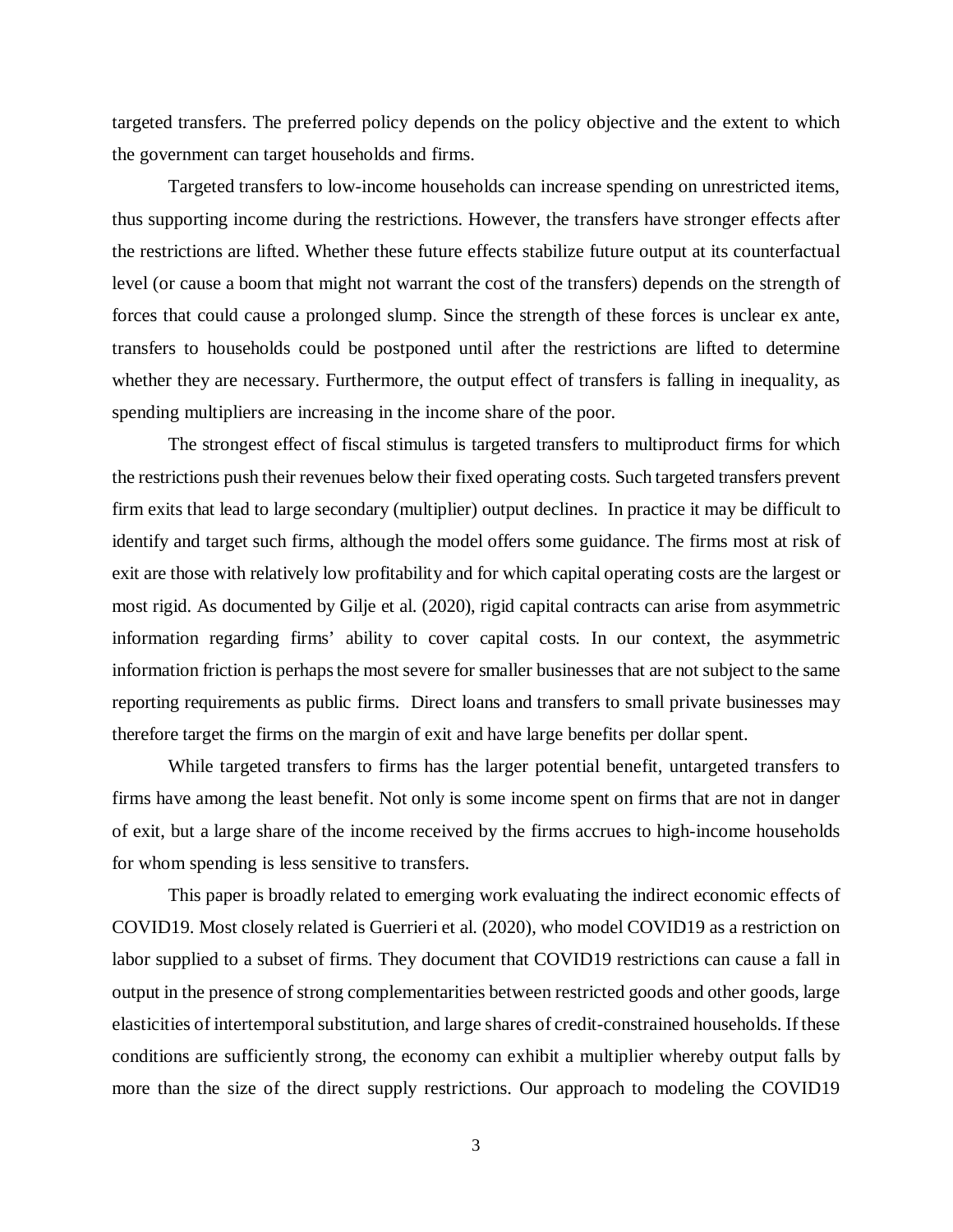targeted transfers. The preferred policy depends on the policy objective and the extent to which the government can target households and firms.

Targeted transfers to low-income households can increase spending on unrestricted items, thus supporting income during the restrictions. However, the transfers have stronger effects after the restrictions are lifted. Whether these future effects stabilize future output at its counterfactual level (or cause a boom that might not warrant the cost of the transfers) depends on the strength of forces that could cause a prolonged slump. Since the strength of these forces is unclear ex ante, transfers to households could be postponed until after the restrictions are lifted to determine whether they are necessary. Furthermore, the output effect of transfers is falling in inequality, as spending multipliers are increasing in the income share of the poor.

The strongest effect of fiscal stimulus is targeted transfers to multiproduct firms for which the restrictions push their revenues below their fixed operating costs. Such targeted transfers prevent firm exits that lead to large secondary (multiplier) output declines. In practice it may be difficult to identify and target such firms, although the model offers some guidance. The firms most at risk of exit are those with relatively low profitability and for which capital operating costs are the largest or most rigid. As documented by Gilje et al. (2020), rigid capital contracts can arise from asymmetric information regarding firms' ability to cover capital costs. In our context, the asymmetric information friction is perhaps the most severe for smaller businesses that are not subject to the same reporting requirements as public firms. Direct loans and transfers to small private businesses may therefore target the firms on the margin of exit and have large benefits per dollar spent.

While targeted transfers to firms has the larger potential benefit, untargeted transfers to firms have among the least benefit. Not only is some income spent on firms that are not in danger of exit, but a large share of the income received by the firms accrues to high-income households for whom spending is less sensitive to transfers.

This paper is broadly related to emerging work evaluating the indirect economic effects of COVID19. Most closely related is Guerrieri et al. (2020), who model COVID19 as a restriction on labor supplied to a subset of firms. They document that COVID19 restrictions can cause a fall in output in the presence of strong complementarities between restricted goods and other goods, large elasticities of intertemporal substitution, and large shares of credit-constrained households. If these conditions are sufficiently strong, the economy can exhibit a multiplier whereby output falls by more than the size of the direct supply restrictions. Our approach to modeling the COVID19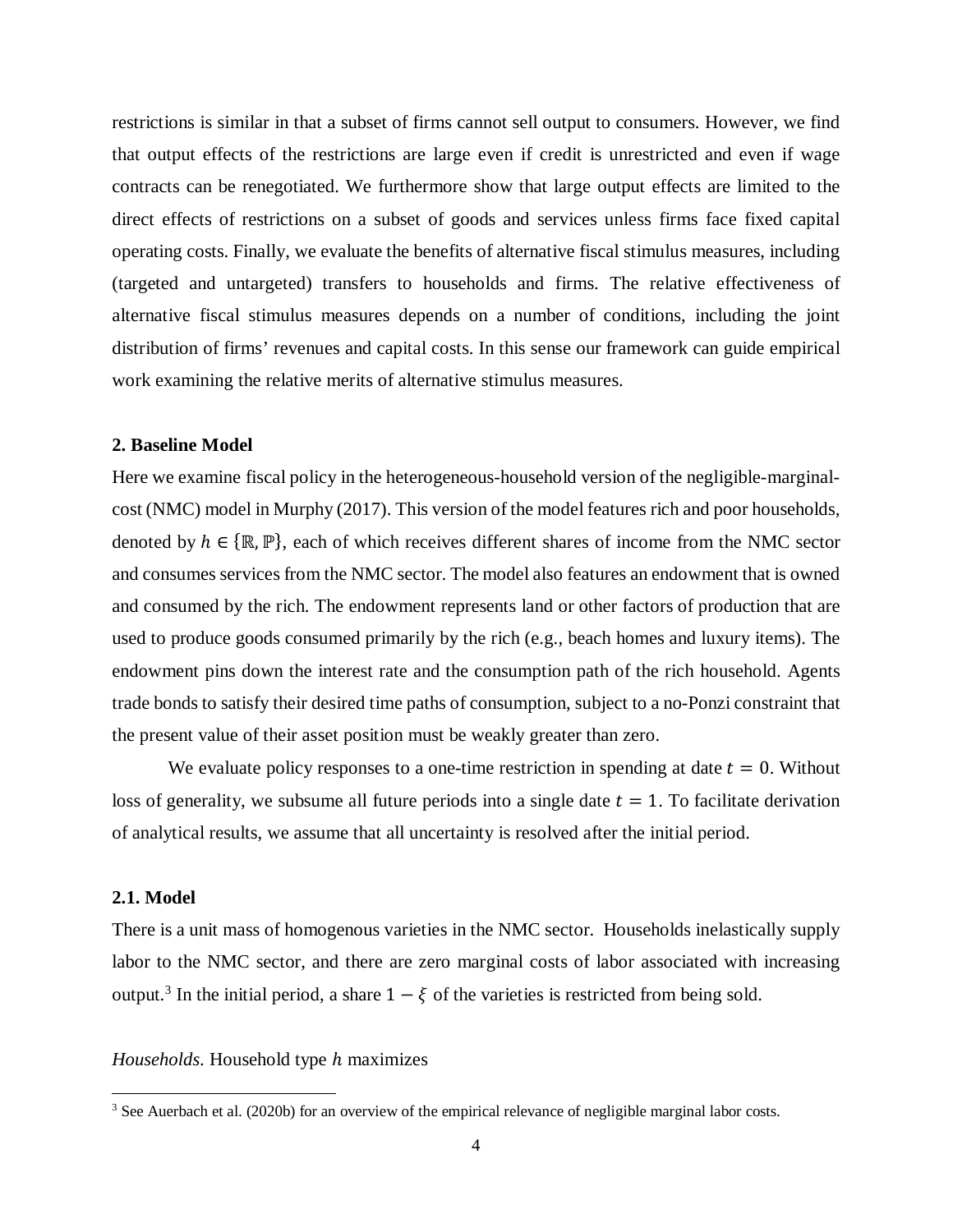restrictions is similar in that a subset of firms cannot sell output to consumers. However, we find that output effects of the restrictions are large even if credit is unrestricted and even if wage contracts can be renegotiated. We furthermore show that large output effects are limited to the direct effects of restrictions on a subset of goods and services unless firms face fixed capital operating costs. Finally, we evaluate the benefits of alternative fiscal stimulus measures, including (targeted and untargeted) transfers to households and firms. The relative effectiveness of alternative fiscal stimulus measures depends on a number of conditions, including the joint distribution of firms' revenues and capital costs. In this sense our framework can guide empirical work examining the relative merits of alternative stimulus measures.

# **2. Baseline Model**

Here we examine fiscal policy in the heterogeneous-household version of the negligible-marginalcost (NMC) model in Murphy (2017). This version of the model features rich and poor households, denoted by  $h \in \{ \mathbb{R}, \mathbb{P} \}$ , each of which receives different shares of income from the NMC sector and consumes services from the NMC sector. The model also features an endowment that is owned and consumed by the rich. The endowment represents land or other factors of production that are used to produce goods consumed primarily by the rich (e.g., beach homes and luxury items). The endowment pins down the interest rate and the consumption path of the rich household. Agents trade bonds to satisfy their desired time paths of consumption, subject to a no-Ponzi constraint that the present value of their asset position must be weakly greater than zero.

We evaluate policy responses to a one-time restriction in spending at date  $t = 0$ . Without loss of generality, we subsume all future periods into a single date  $t = 1$ . To facilitate derivation of analytical results, we assume that all uncertainty is resolved after the initial period.

# **2.1. Model**

 $\overline{\phantom{a}}$ 

There is a unit mass of homogenous varieties in the NMC sector. Households inelastically supply labor to the NMC sector, and there are zero marginal costs of labor associated with increasing output.<sup>[3](#page-5-0)</sup> In the initial period, a share  $1 - \xi$  of the varieties is restricted from being sold.

### *Households*. Household type h maximizes

<span id="page-5-0"></span><sup>&</sup>lt;sup>3</sup> See Auerbach et al. (2020b) for an overview of the empirical relevance of negligible marginal labor costs.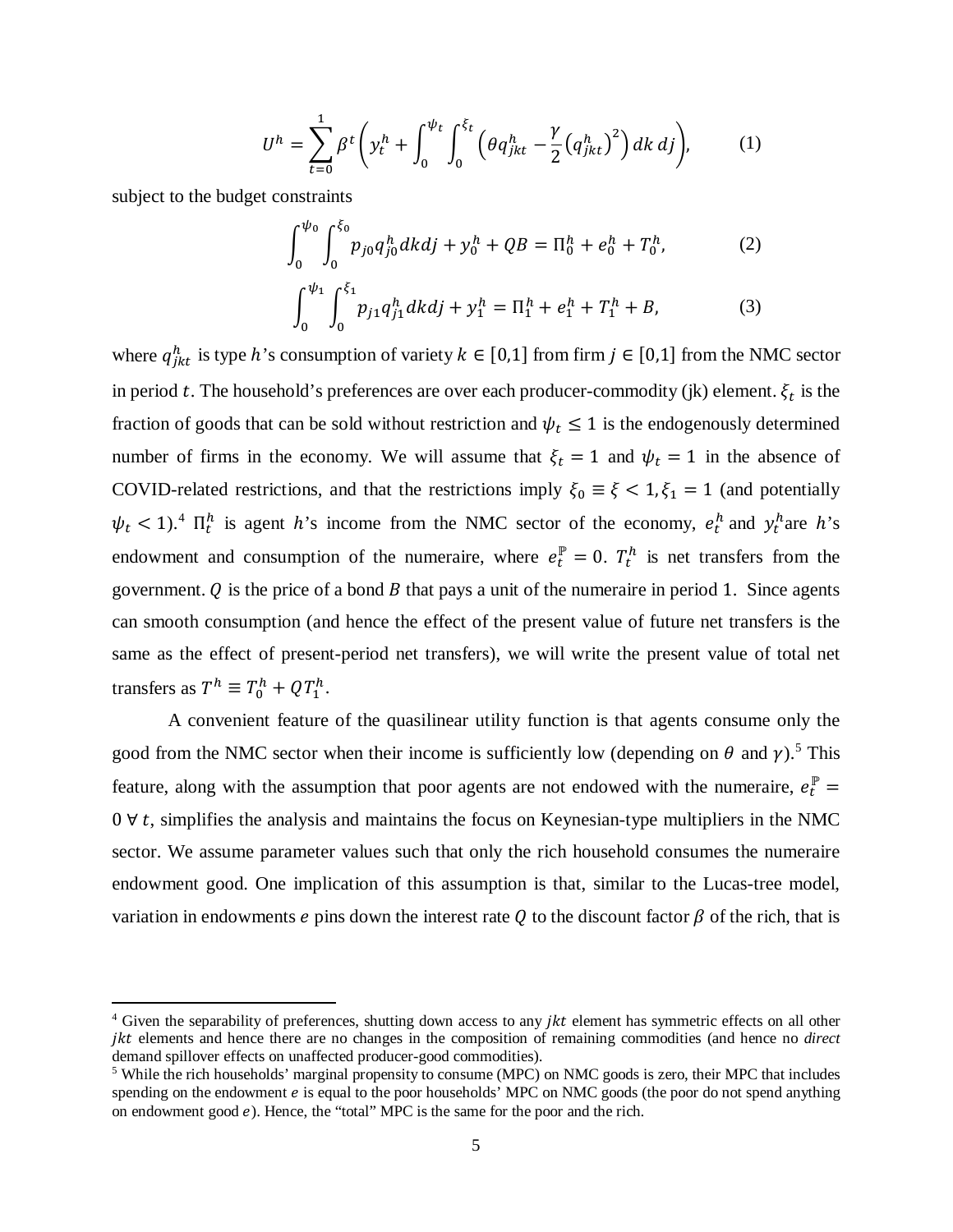$$
U^{h} = \sum_{t=0}^{1} \beta^{t} \left( y_{t}^{h} + \int_{0}^{\psi_{t}} \int_{0}^{\xi_{t}} \left( \theta q_{jkt}^{h} - \frac{\gamma}{2} \left( q_{jkt}^{h} \right)^{2} \right) dk \, dj \right), \tag{1}
$$

subject to the budget constraints

 $\overline{\phantom{a}}$ 

<span id="page-6-2"></span>
$$
\int_0^{\psi_0} \int_0^{\xi_0} p_{j0} q_{j0}^h dk dj + y_0^h + QB = \Pi_0^h + e_0^h + T_0^h, \tag{2}
$$

<span id="page-6-4"></span><span id="page-6-3"></span>
$$
\int_0^{\psi_1} \int_0^{\xi_1} p_{j1} q_{j1}^h dk dj + y_1^h = \Pi_1^h + e_1^h + T_1^h + B,\tag{3}
$$

where  $q_{jkt}^h$  is type h's consumption of variety  $k \in [0,1]$  from firm  $j \in [0,1]$  from the NMC sector in period t. The household's preferences are over each producer-commodity (jk) element.  $\xi_t$  is the fraction of goods that can be sold without restriction and  $\psi_t \leq 1$  is the endogenously determined number of firms in the economy. We will assume that  $\xi_t = 1$  and  $\psi_t = 1$  in the absence of COVID-related restrictions, and that the restrictions imply  $\xi_0 \equiv \xi < 1, \xi_1 = 1$  (and potentially  $\psi_t$  < 1).<sup>[4](#page-6-0)</sup>  $\Pi_t^h$  is agent h's income from the NMC sector of the economy,  $e_t^h$  and  $y_t^h$  are h's endowment and consumption of the numeraire, where  $e_t^{\mu} = 0$ .  $T_t^h$  is net transfers from the government.  $Q$  is the price of a bond  $B$  that pays a unit of the numeraire in period 1. Since agents can smooth consumption (and hence the effect of the present value of future net transfers is the same as the effect of present-period net transfers), we will write the present value of total net transfers as  $T^h \equiv T_0^h + QT_1^h$ .

A convenient feature of the quasilinear utility function is that agents consume only the good from the NMC sector when their income is sufficiently low (depending on  $\theta$  and  $\gamma$ ).<sup>[5](#page-6-1)</sup> This feature, along with the assumption that poor agents are not endowed with the numeraire,  $e_t^{\mu}$  $0 \forall t$ , simplifies the analysis and maintains the focus on Keynesian-type multipliers in the NMC sector. We assume parameter values such that only the rich household consumes the numeraire endowment good. One implication of this assumption is that, similar to the Lucas-tree model, variation in endowments e pins down the interest rate Q to the discount factor  $\beta$  of the rich, that is

<span id="page-6-0"></span> $4$  Given the separability of preferences, shutting down access to any *ikt* element has symmetric effects on all other ikt elements and hence there are no changes in the composition of remaining commodities (and hence no *direct* demand spillover effects on unaffected producer-good commodities).<br><sup>5</sup> While the rich households' marginal propensity to consume (MPC) on NMC goods is zero, their MPC that includes

<span id="page-6-1"></span>spending on the endowment  $e$  is equal to the poor households' MPC on NMC goods (the poor do not spend anything on endowment good  $e$ ). Hence, the "total" MPC is the same for the poor and the rich.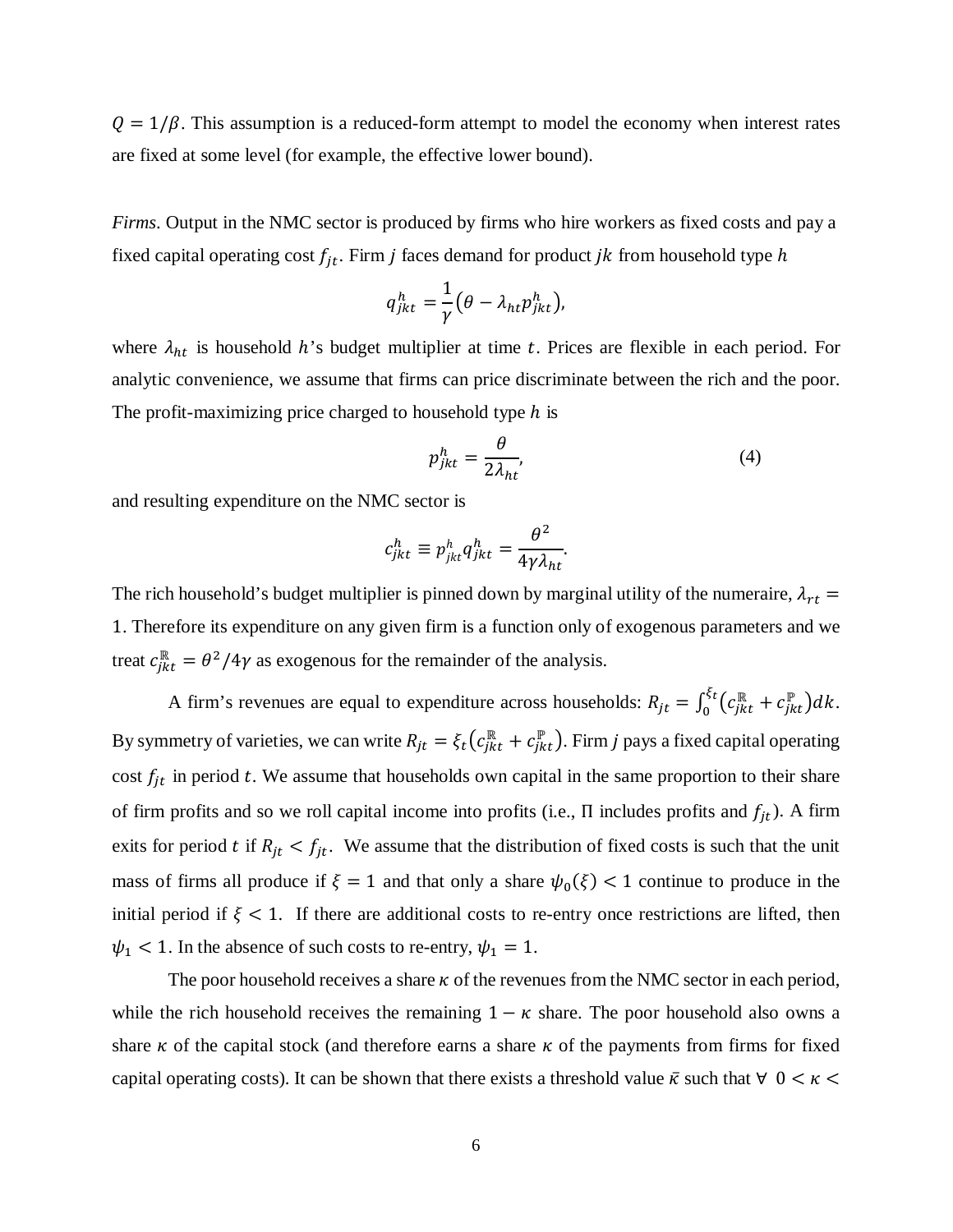$Q = 1/\beta$ . This assumption is a reduced-form attempt to model the economy when interest rates are fixed at some level (for example, the effective lower bound).

*Firms*. Output in the NMC sector is produced by firms who hire workers as fixed costs and pay a fixed capital operating cost  $f_{it}$ . Firm j faces demand for product jk from household type h

$$
q_{jkt}^h = \frac{1}{\gamma} \big( \theta - \lambda_{ht} p_{jkt}^h \big),
$$

where  $\lambda_{ht}$  is household h's budget multiplier at time t. Prices are flexible in each period. For analytic convenience, we assume that firms can price discriminate between the rich and the poor. The profit-maximizing price charged to household type  *is* 

<span id="page-7-0"></span>
$$
p_{jkt}^h = \frac{\theta}{2\lambda_{ht}},\tag{4}
$$

and resulting expenditure on the NMC sector is

$$
c_{jkt}^h \equiv p_{jkt}^h q_{jkt}^h = \frac{\theta^2}{4\gamma \lambda_{ht}}.
$$

The rich household's budget multiplier is pinned down by marginal utility of the numeraire,  $\lambda_{rt}$  = 1. Therefore its expenditure on any given firm is a function only of exogenous parameters and we treat  $c_{jkt}^{\parallel} = \frac{\theta^2}{4\gamma}$  as exogenous for the remainder of the analysis.

A firm's revenues are equal to expenditure across households:  $R_{jt} = \int_0^{\xi t} (c_{jkt}^{\mathbb{R}} + c_{jkt}^{\mathbb{P}}) dk$ . By symmetry of varieties, we can write  $R_{jt} = \xi_t (c_{jkt}^{\#} + c_{jkt}^{\#})$ . Firm j pays a fixed capital operating cost  $f_{it}$  in period t. We assume that households own capital in the same proportion to their share of firm profits and so we roll capital income into profits (i.e.,  $\Pi$  includes profits and  $f_{jt}$ ). A firm exits for period t if  $R_{jt} < f_{jt}$ . We assume that the distribution of fixed costs is such that the unit mass of firms all produce if  $\xi = 1$  and that only a share  $\psi_0(\xi) < 1$  continue to produce in the initial period if  $\xi$  < 1. If there are additional costs to re-entry once restrictions are lifted, then  $\psi_1$  < 1. In the absence of such costs to re-entry,  $\psi_1 = 1$ .

The poor household receives a share  $\kappa$  of the revenues from the NMC sector in each period, while the rich household receives the remaining  $1 - \kappa$  share. The poor household also owns a share  $\kappa$  of the capital stock (and therefore earns a share  $\kappa$  of the payments from firms for fixed capital operating costs). It can be shown that there exists a threshold value  $\bar{\kappa}$  such that  $\forall$  0 <  $\kappa$  <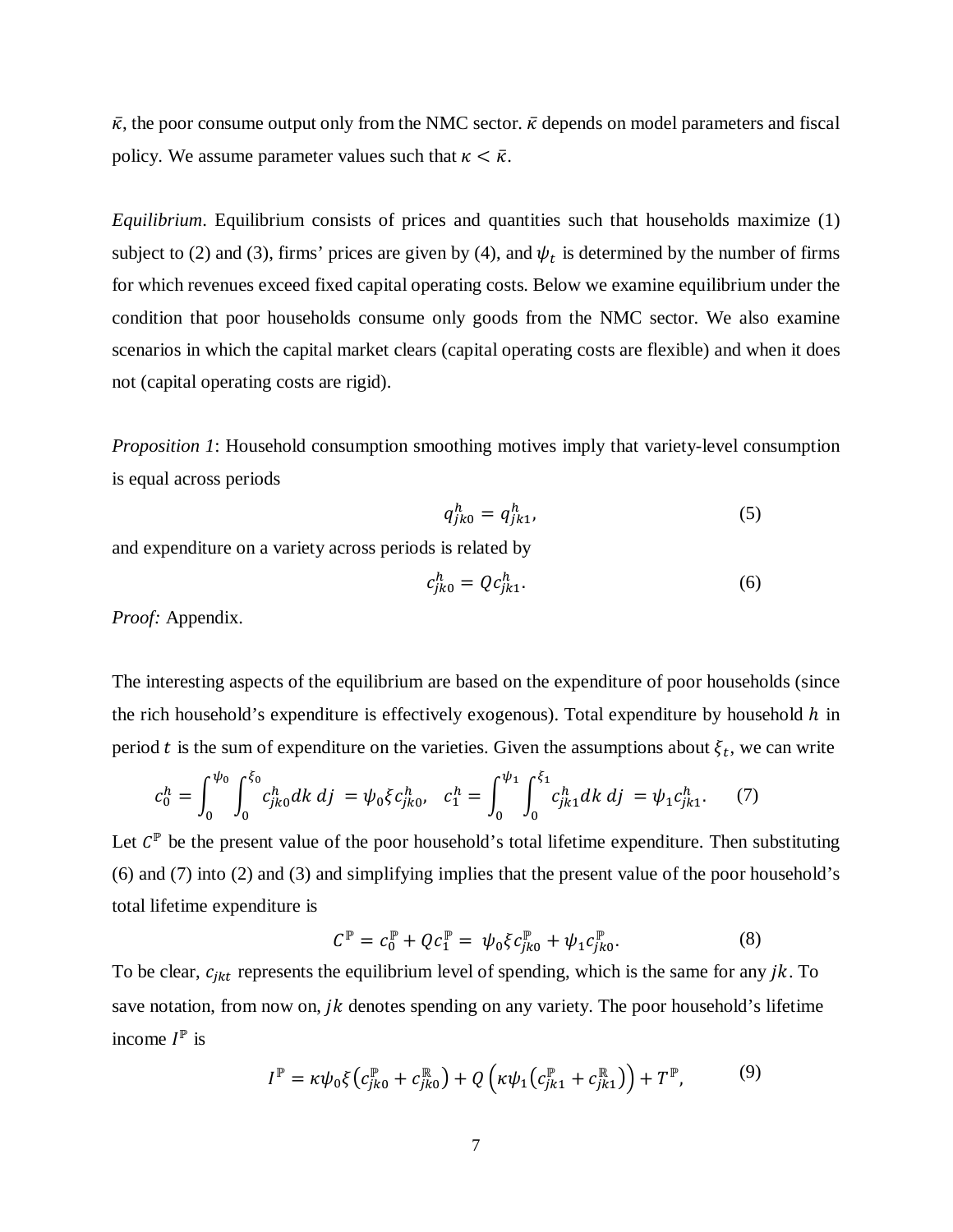$\bar{\kappa}$ , the poor consume output only from the NMC sector.  $\bar{\kappa}$  depends on model parameters and fiscal policy. We assume parameter values such that  $\kappa < \bar{\kappa}$ .

*Equilibrium.* Equilibrium consists of prices and quantities such that households maximize [\(1\)](#page-6-2) subject to [\(2\)](#page-6-3) and [\(3\),](#page-6-4) firms' prices are given by [\(4\),](#page-7-0) and  $\psi_t$  is determined by the number of firms for which revenues exceed fixed capital operating costs. Below we examine equilibrium under the condition that poor households consume only goods from the NMC sector. We also examine scenarios in which the capital market clears (capital operating costs are flexible) and when it does not (capital operating costs are rigid).

*Proposition 1*: Household consumption smoothing motives imply that variety-level consumption is equal across periods

<span id="page-8-0"></span>
$$
q_{jk0}^h = q_{jk1}^h,\tag{5}
$$

and expenditure on a variety across periods is related by

<span id="page-8-1"></span>
$$
c_{jk0}^h = Qc_{jk1}^h.
$$

*Proof:* Appendix.

The interesting aspects of the equilibrium are based on the expenditure of poor households (since the rich household's expenditure is effectively exogenous). Total expenditure by household  $h$  in period t is the sum of expenditure on the varieties. Given the assumptions about  $\xi_t$ , we can write

$$
c_0^h = \int_0^{\psi_0} \int_0^{\xi_0} c_{jk0}^h dk \, dj = \psi_0 \xi c_{jk0}^h, \quad c_1^h = \int_0^{\psi_1} \int_0^{\xi_1} c_{jk1}^h dk \, dj = \psi_1 c_{jk1}^h. \tag{7}
$$

Let  $C^{\mathbb{P}}$  be the present value of the poor household's total lifetime expenditure. Then substituting [\(6\)](#page-8-0) and [\(7\)](#page-8-1) into [\(2\)](#page-6-3) and [\(3\)](#page-6-4) and simplifying implies that the present value of the poor household's total lifetime expenditure is

$$
C^{\mathbb{P}} = c_0^{\mathbb{P}} + Qc_1^{\mathbb{P}} = \psi_0 \xi c_{jk0}^{\mathbb{P}} + \psi_1 c_{jk0}^{\mathbb{P}}.
$$
 (8)

To be clear,  $c_{jkt}$  represents the equilibrium level of spending, which is the same for any  $jk$ . To save notation, from now on,  $jk$  denotes spending on any variety. The poor household's lifetime income  $I^{\mathbb{P}}$  is

$$
I^{\mathbb{P}} = \kappa \psi_0 \xi \left( c_{jk0}^{\mathbb{P}} + c_{jk0}^{\mathbb{R}} \right) + Q \left( \kappa \psi_1 \left( c_{jk1}^{\mathbb{P}} + c_{jk1}^{\mathbb{R}} \right) \right) + T^{\mathbb{P}}, \tag{9}
$$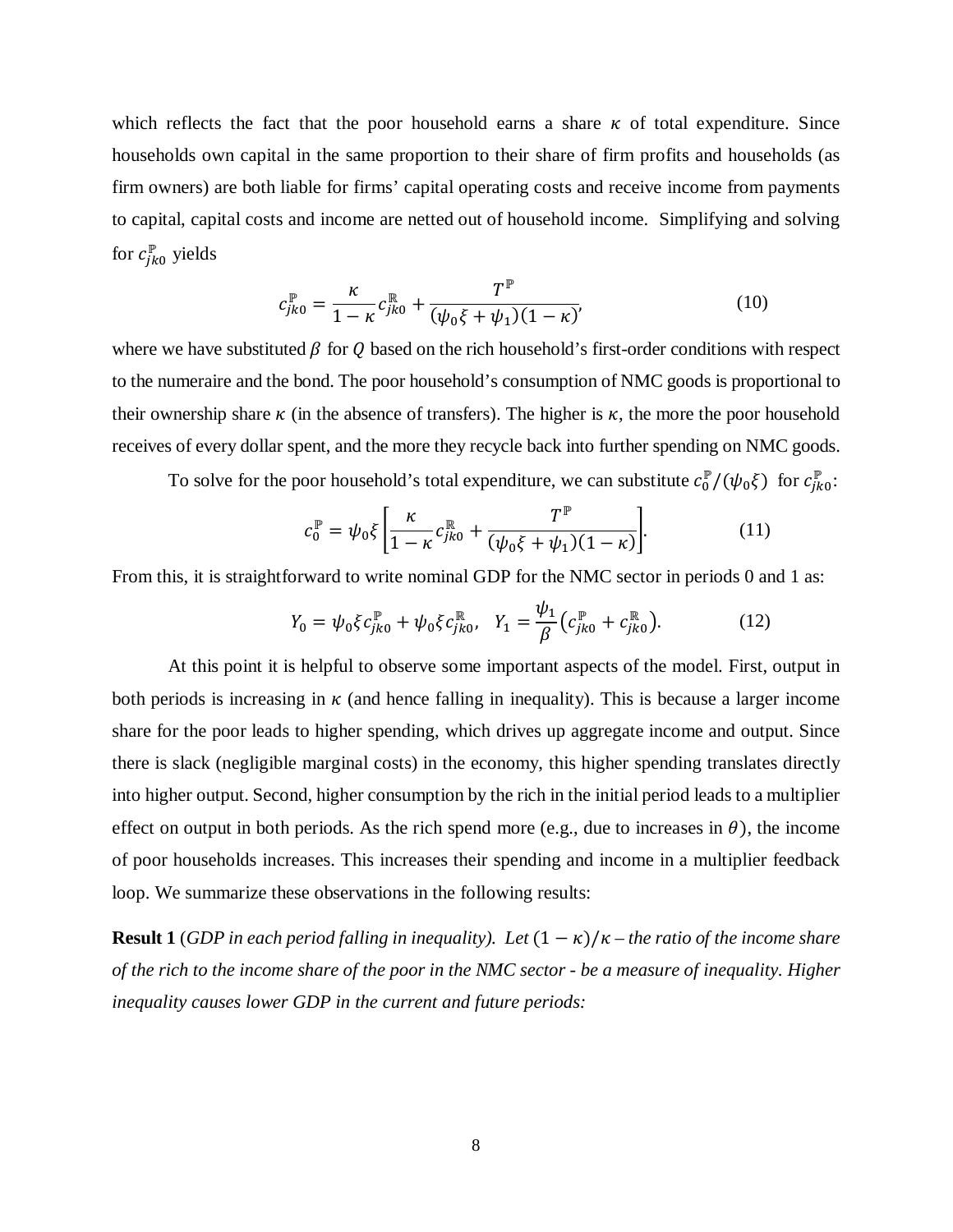which reflects the fact that the poor household earns a share  $\kappa$  of total expenditure. Since households own capital in the same proportion to their share of firm profits and households (as firm owners) are both liable for firms' capital operating costs and receive income from payments to capital, capital costs and income are netted out of household income. Simplifying and solving for  $c_{jk0}^{\mathbb{P}}$  yields

$$
c_{jk0}^{\mathbb{P}} = \frac{\kappa}{1 - \kappa} c_{jk0}^{\mathbb{R}} + \frac{T^{\mathbb{P}}}{(\psi_0 \xi + \psi_1)(1 - \kappa)},
$$
(10)

where we have substituted  $\beta$  for  $\dot{Q}$  based on the rich household's first-order conditions with respect to the numeraire and the bond. The poor household's consumption of NMC goods is proportional to their ownership share  $\kappa$  (in the absence of transfers). The higher is  $\kappa$ , the more the poor household receives of every dollar spent, and the more they recycle back into further spending on NMC goods.

To solve for the poor household's total expenditure, we can substitute  $c_0^p/(\psi_0\xi)$  for  $c_{jk0}^p$ :

<span id="page-9-1"></span><span id="page-9-0"></span>
$$
c_0^{\mathbb{P}} = \psi_0 \xi \left[ \frac{\kappa}{1 - \kappa} c_{jk0}^{\mathbb{R}} + \frac{T^{\mathbb{P}}}{(\psi_0 \xi + \psi_1)(1 - \kappa)} \right].
$$
 (11)

From this, it is straightforward to write nominal GDP for the NMC sector in periods 0 and 1 as:

$$
Y_0 = \psi_0 \xi c_{jk0}^{\mathbb{P}} + \psi_0 \xi c_{jk0}^{\mathbb{R}}, \quad Y_1 = \frac{\psi_1}{\beta} \left( c_{jk0}^{\mathbb{P}} + c_{jk0}^{\mathbb{R}} \right). \tag{12}
$$

At this point it is helpful to observe some important aspects of the model. First, output in both periods is increasing in  $\kappa$  (and hence falling in inequality). This is because a larger income share for the poor leads to higher spending, which drives up aggregate income and output. Since there is slack (negligible marginal costs) in the economy, this higher spending translates directly into higher output. Second, higher consumption by the rich in the initial period leads to a multiplier effect on output in both periods. As the rich spend more (e.g., due to increases in  $\theta$ ), the income of poor households increases. This increases their spending and income in a multiplier feedback loop. We summarize these observations in the following results:

**Result 1** (*GDP* in each period falling in inequality). Let  $(1 - \kappa)/\kappa$  – the ratio of the income share *of the rich to the income share of the poor in the NMC sector - be a measure of inequality. Higher inequality causes lower GDP in the current and future periods:*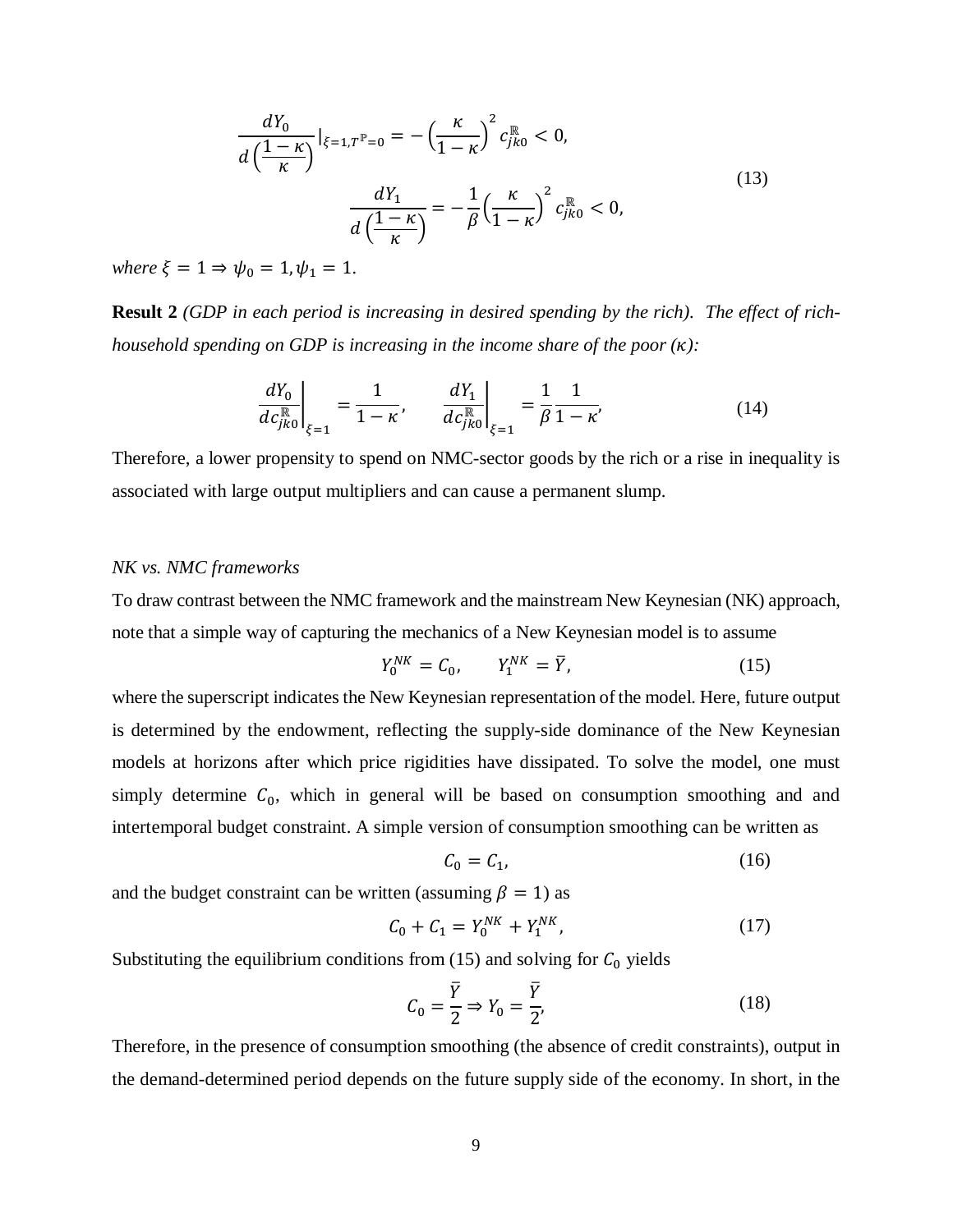$$
\frac{dY_0}{d\left(\frac{1-\kappa}{\kappa}\right)}|_{\xi=1,T^{\mathbb{P}}=0} = -\left(\frac{\kappa}{1-\kappa}\right)^2 c_{jk0}^{\mathbb{R}} < 0,
$$
\n
$$
\frac{dY_1}{d\left(\frac{1-\kappa}{\kappa}\right)} = -\frac{1}{\beta}\left(\frac{\kappa}{1-\kappa}\right)^2 c_{jk0}^{\mathbb{R}} < 0,
$$
\n(13)

*where*  $\xi = 1 \Rightarrow \psi_0 = 1, \psi_1 = 1$ .

**Result 2** *(GDP in each period is increasing in desired spending by the rich). The effect of richhousehold spending on GDP is increasing in the income share of the poor ():* 

$$
\left. \frac{dY_0}{dc_{jk0}^{\mathbb{R}}} \right|_{\xi=1} = \frac{1}{1-\kappa}, \qquad \left. \frac{dY_1}{dc_{jk0}^{\mathbb{R}}} \right|_{\xi=1} = \frac{1}{\beta} \frac{1}{1-\kappa}.
$$
 (14)

Therefore, a lower propensity to spend on NMC-sector goods by the rich or a rise in inequality is associated with large output multipliers and can cause a permanent slump.

## *NK vs. NMC frameworks*

To draw contrast between the NMC framework and the mainstream New Keynesian (NK) approach, note that a simple way of capturing the mechanics of a New Keynesian model is to assume

$$
Y_0^{NK} = C_0, \qquad Y_1^{NK} = \overline{Y}, \tag{15}
$$

where the superscript indicates the New Keynesian representation of the model. Here, future output is determined by the endowment, reflecting the supply-side dominance of the New Keynesian models at horizons after which price rigidities have dissipated. To solve the model, one must simply determine  $C_0$ , which in general will be based on consumption smoothing and and intertemporal budget constraint. A simple version of consumption smoothing can be written as

<span id="page-10-0"></span>
$$
C_0 = C_1,\tag{16}
$$

and the budget constraint can be written (assuming  $\beta = 1$ ) as

$$
C_0 + C_1 = Y_0^{NK} + Y_1^{NK}, \tag{17}
$$

Substituting the equilibrium conditions from [\(15\)](#page-10-0) and solving for  $C_0$  yields

$$
C_0 = \frac{\overline{Y}}{2} \Rightarrow Y_0 = \frac{\overline{Y}}{2'},\tag{18}
$$

Therefore, in the presence of consumption smoothing (the absence of credit constraints), output in the demand-determined period depends on the future supply side of the economy. In short, in the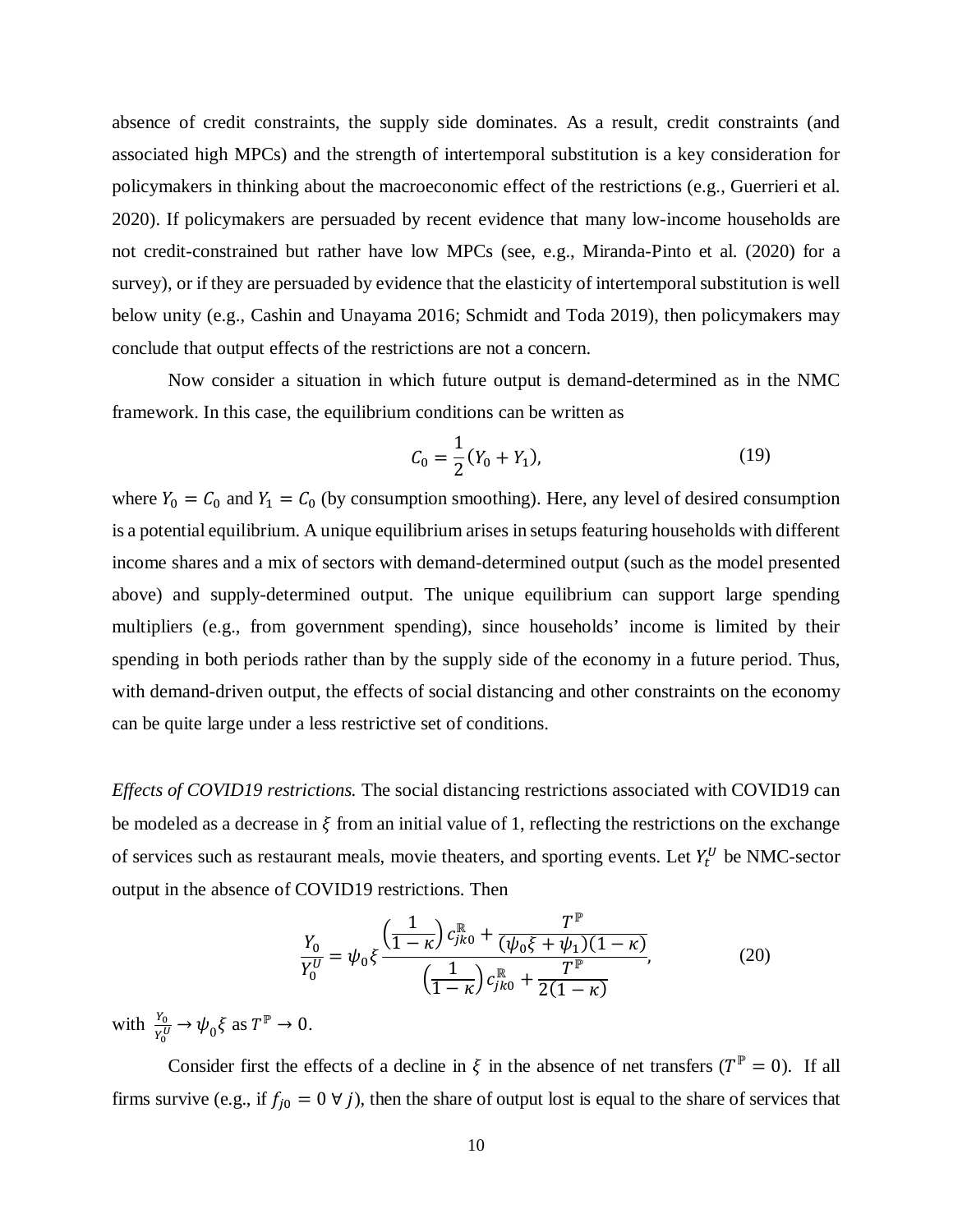absence of credit constraints, the supply side dominates. As a result, credit constraints (and associated high MPCs) and the strength of intertemporal substitution is a key consideration for policymakers in thinking about the macroeconomic effect of the restrictions (e.g., Guerrieri et al. 2020). If policymakers are persuaded by recent evidence that many low-income households are not credit-constrained but rather have low MPCs (see, e.g., Miranda-Pinto et al. (2020) for a survey), or if they are persuaded by evidence that the elasticity of intertemporal substitution is well below unity (e.g., Cashin and Unayama 2016; Schmidt and Toda 2019), then policymakers may conclude that output effects of the restrictions are not a concern.

Now consider a situation in which future output is demand-determined as in the NMC framework. In this case, the equilibrium conditions can be written as

$$
C_0 = \frac{1}{2}(Y_0 + Y_1),\tag{19}
$$

where  $Y_0 = C_0$  and  $Y_1 = C_0$  (by consumption smoothing). Here, any level of desired consumption is a potential equilibrium. A unique equilibrium arises in setups featuring households with different income shares and a mix of sectors with demand-determined output (such as the model presented above) and supply-determined output. The unique equilibrium can support large spending multipliers (e.g., from government spending), since households' income is limited by their spending in both periods rather than by the supply side of the economy in a future period. Thus, with demand-driven output, the effects of social distancing and other constraints on the economy can be quite large under a less restrictive set of conditions.

*Effects of COVID19 restrictions.* The social distancing restrictions associated with COVID19 can be modeled as a decrease in  $\xi$  from an initial value of 1, reflecting the restrictions on the exchange of services such as restaurant meals, movie theaters, and sporting events. Let  $Y_t^U$  be NMC-sector output in the absence of COVID19 restrictions. Then

<span id="page-11-0"></span>
$$
\frac{Y_0}{Y_0^U} = \psi_0 \xi \frac{\left(\frac{1}{1-\kappa}\right) c_{jk0}^{\mathbb{R}} + \frac{T^{\mathbb{P}}}{(\psi_0 \xi + \psi_1)(1-\kappa)}}{\left(\frac{1}{1-\kappa}\right) c_{jk0}^{\mathbb{R}} + \frac{T^{\mathbb{P}}}{2(1-\kappa)}},\tag{20}
$$

with  $\frac{Y_0}{Y_0^U} \to \psi_0 \xi$  as  $T^{\mathbb{P}} \to 0$ .

Consider first the effects of a decline in  $\xi$  in the absence of net transfers ( $T^{\mathbb{P}} = 0$ ). If all firms survive (e.g., if  $f_{j0} = 0 \forall j$ ), then the share of output lost is equal to the share of services that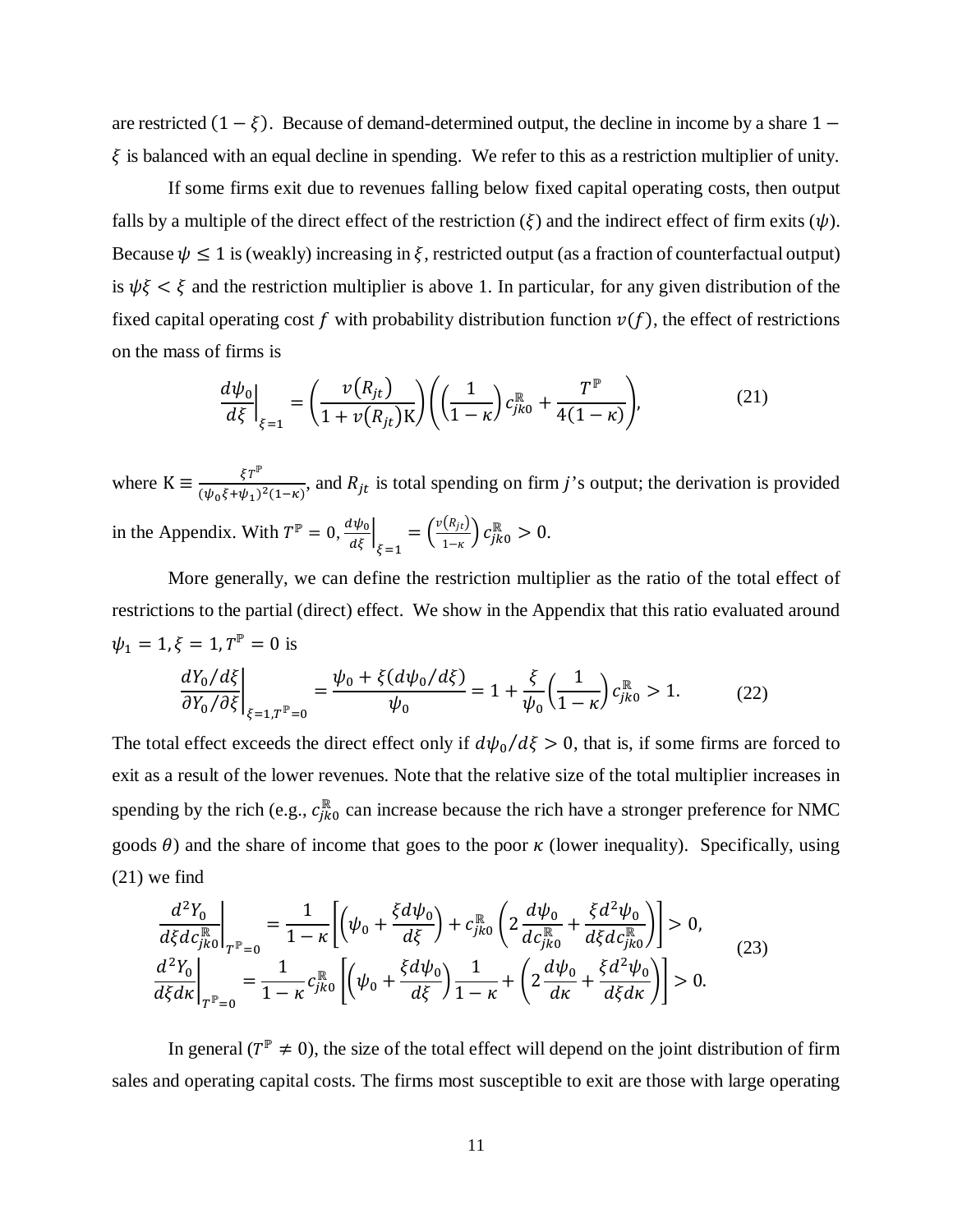are restricted  $(1 - \xi)$ . Because of demand-determined output, the decline in income by a share 1 −  $\xi$  is balanced with an equal decline in spending. We refer to this as a restriction multiplier of unity.

If some firms exit due to revenues falling below fixed capital operating costs, then output falls by a multiple of the direct effect of the restriction  $(\xi)$  and the indirect effect of firm exits  $(\psi)$ . Because  $\psi \leq 1$  is (weakly) increasing in  $\xi$ , restricted output (as a fraction of counterfactual output) is  $\psi\xi < \xi$  and the restriction multiplier is above 1. In particular, for any given distribution of the fixed capital operating cost f with probability distribution function  $v(f)$ , the effect of restrictions on the mass of firms is

$$
\left. \frac{d\psi_0}{d\xi} \right|_{\xi=1} = \left( \frac{\nu(R_{jt})}{1 + \nu(R_{jt})K} \right) \left( \left( \frac{1}{1 - \kappa} \right) c_{jk0}^{\mathbb{R}} + \frac{T^{\mathbb{P}}}{4(1 - \kappa)} \right), \tag{21}
$$

where  $K = \frac{\xi T^p}{(\psi_0 \xi + \psi_1)^2 (1 - \kappa)}$ , and  $R_{jt}$  is total spending on firm j's output; the derivation is provided in the Appendix. With  $T^{\mathbb{P}} = 0$ ,  $\frac{d\psi_0}{d\xi}\Big|_{\xi=1}$  $=\left(\frac{v(R_{jt})}{1-\kappa}\right)c_{jk0}^{\mathbb{R}}>0.$ 

More generally, we can define the restriction multiplier as the ratio of the total effect of restrictions to the partial (direct) effect. We show in the Appendix that this ratio evaluated around  $\psi_1 = 1, \xi = 1, T^{\mathbb{P}} = 0$  is

$$
\left. \frac{dY_0}{dY_0}{d\xi} \right|_{\xi = 1,T^{\mathbb{P}} = 0} = \frac{\psi_0 + \xi (d\psi_0/d\xi)}{\psi_0} = 1 + \frac{\xi}{\psi_0} \left( \frac{1}{1 - \kappa} \right) c_{jk0}^{\mathbb{R}} > 1. \tag{22}
$$

The total effect exceeds the direct effect only if  $d\psi_0/d\xi > 0$ , that is, if some firms are forced to exit as a result of the lower revenues. Note that the relative size of the total multiplier increases in spending by the rich (e.g.,  $c_{jk_0}^{\mathbb{R}}$  can increase because the rich have a stronger preference for NMC goods  $\theta$ ) and the share of income that goes to the poor  $\kappa$  (lower inequality). Specifically, using (21) we find

$$
\frac{d^2Y_0}{d\xi dc_{jko}^{\mathbb{R}}}\Big|_{T^{\mathbb{P}}=0} = \frac{1}{1-\kappa} \Biggl[ \Bigl( \psi_0 + \frac{\xi d\psi_0}{d\xi} \Bigr) + c_{jko}^{\mathbb{R}} \Biggl( 2\frac{d\psi_0}{dc_{jko}^{\mathbb{R}}} + \frac{\xi d^2\psi_0}{d\xi dc_{jko}^{\mathbb{R}}} \Bigr) \Biggr] > 0,
$$
\n
$$
\frac{d^2Y_0}{d\xi d\kappa} \Biggl|_{T^{\mathbb{P}}=0} = \frac{1}{1-\kappa} c_{jko}^{\mathbb{R}} \Biggl[ \Bigl( \psi_0 + \frac{\xi d\psi_0}{d\xi} \Bigr) \frac{1}{1-\kappa} + \Bigl( 2\frac{d\psi_0}{d\kappa} + \frac{\xi d^2\psi_0}{d\xi d\kappa} \Bigr) \Biggr] > 0.
$$
\n(23)

In general ( $T^{\mathbb{P}} \neq 0$ ), the size of the total effect will depend on the joint distribution of firm sales and operating capital costs. The firms most susceptible to exit are those with large operating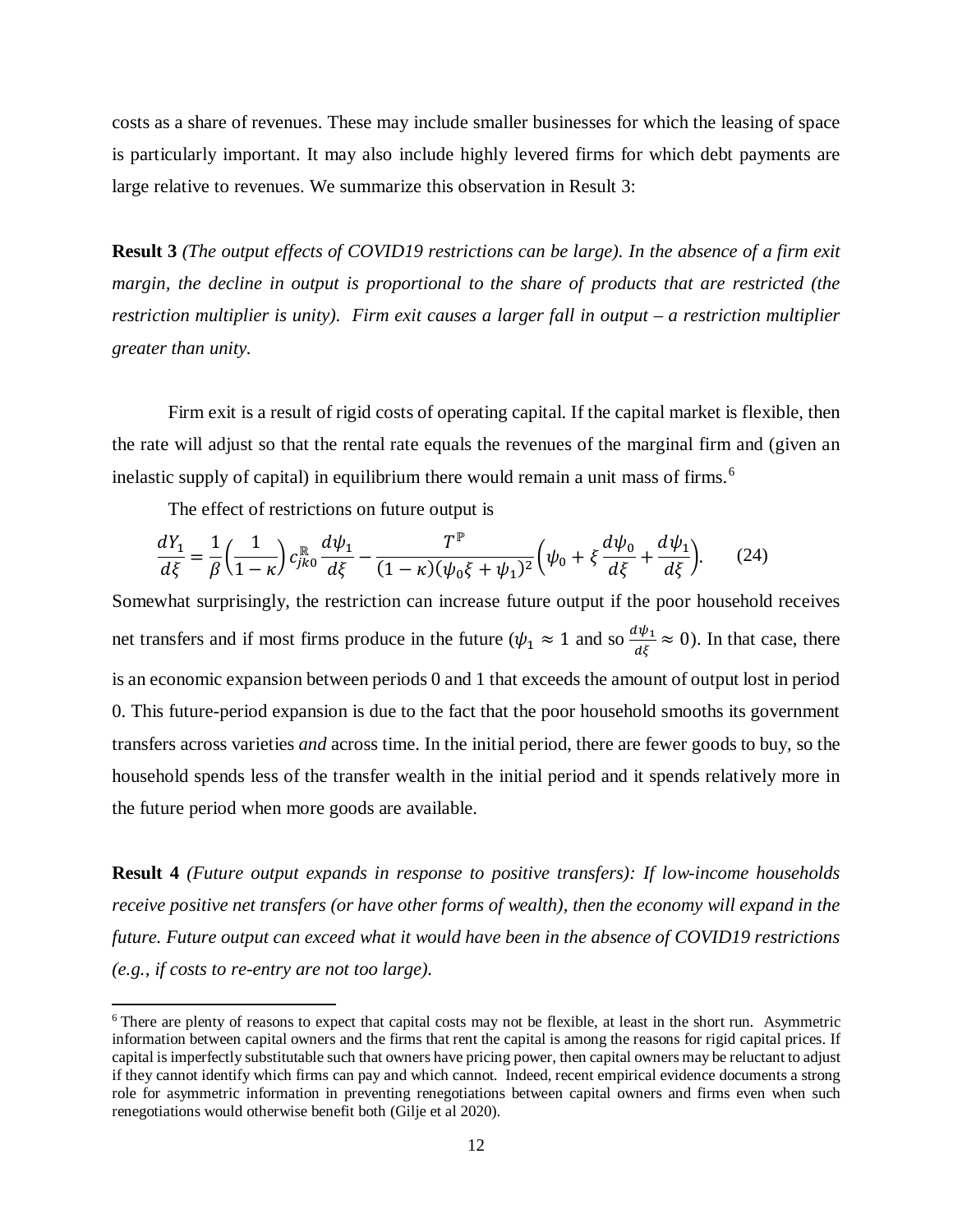costs as a share of revenues. These may include smaller businesses for which the leasing of space is particularly important. It may also include highly levered firms for which debt payments are large relative to revenues. We summarize this observation in Result 3:

**Result 3** *(The output effects of COVID19 restrictions can be large). In the absence of a firm exit margin, the decline in output is proportional to the share of products that are restricted (the restriction multiplier is unity). Firm exit causes a larger fall in output – a restriction multiplier greater than unity.*

Firm exit is a result of rigid costs of operating capital. If the capital market is flexible, then the rate will adjust so that the rental rate equals the revenues of the marginal firm and (given an inelastic supply of capital) in equilibrium there would remain a unit mass of firms.<sup>[6](#page-13-0)</sup>

The effect of restrictions on future output is

 $\overline{\phantom{a}}$ 

$$
\frac{dY_1}{d\xi} = \frac{1}{\beta} \left( \frac{1}{1 - \kappa} \right) c_{jk0}^{\mathbb{R}} \frac{d\psi_1}{d\xi} - \frac{T^{\mathbb{P}}}{(1 - \kappa)(\psi_0 \xi + \psi_1)^2} \left( \psi_0 + \xi \frac{d\psi_0}{d\xi} + \frac{d\psi_1}{d\xi} \right).
$$
(24)

Somewhat surprisingly, the restriction can increase future output if the poor household receives net transfers and if most firms produce in the future ( $\psi_1 \approx 1$  and so  $\frac{d\psi_1}{d\xi} \approx 0$ ). In that case, there is an economic expansion between periods 0 and 1 that exceeds the amount of output lost in period 0. This future-period expansion is due to the fact that the poor household smooths its government transfers across varieties *and* across time. In the initial period, there are fewer goods to buy, so the household spends less of the transfer wealth in the initial period and it spends relatively more in the future period when more goods are available.

**Result 4** *(Future output expands in response to positive transfers): If low-income households receive positive net transfers (or have other forms of wealth), then the economy will expand in the future. Future output can exceed what it would have been in the absence of COVID19 restrictions (e.g., if costs to re-entry are not too large).*

<span id="page-13-0"></span><sup>6</sup> There are plenty of reasons to expect that capital costs may not be flexible, at least in the short run. Asymmetric information between capital owners and the firms that rent the capital is among the reasons for rigid capital prices. If capital is imperfectly substitutable such that owners have pricing power, then capital owners may be reluctant to adjust if they cannot identify which firms can pay and which cannot. Indeed, recent empirical evidence documents a strong role for asymmetric information in preventing renegotiations between capital owners and firms even when such renegotiations would otherwise benefit both (Gilje et al 2020).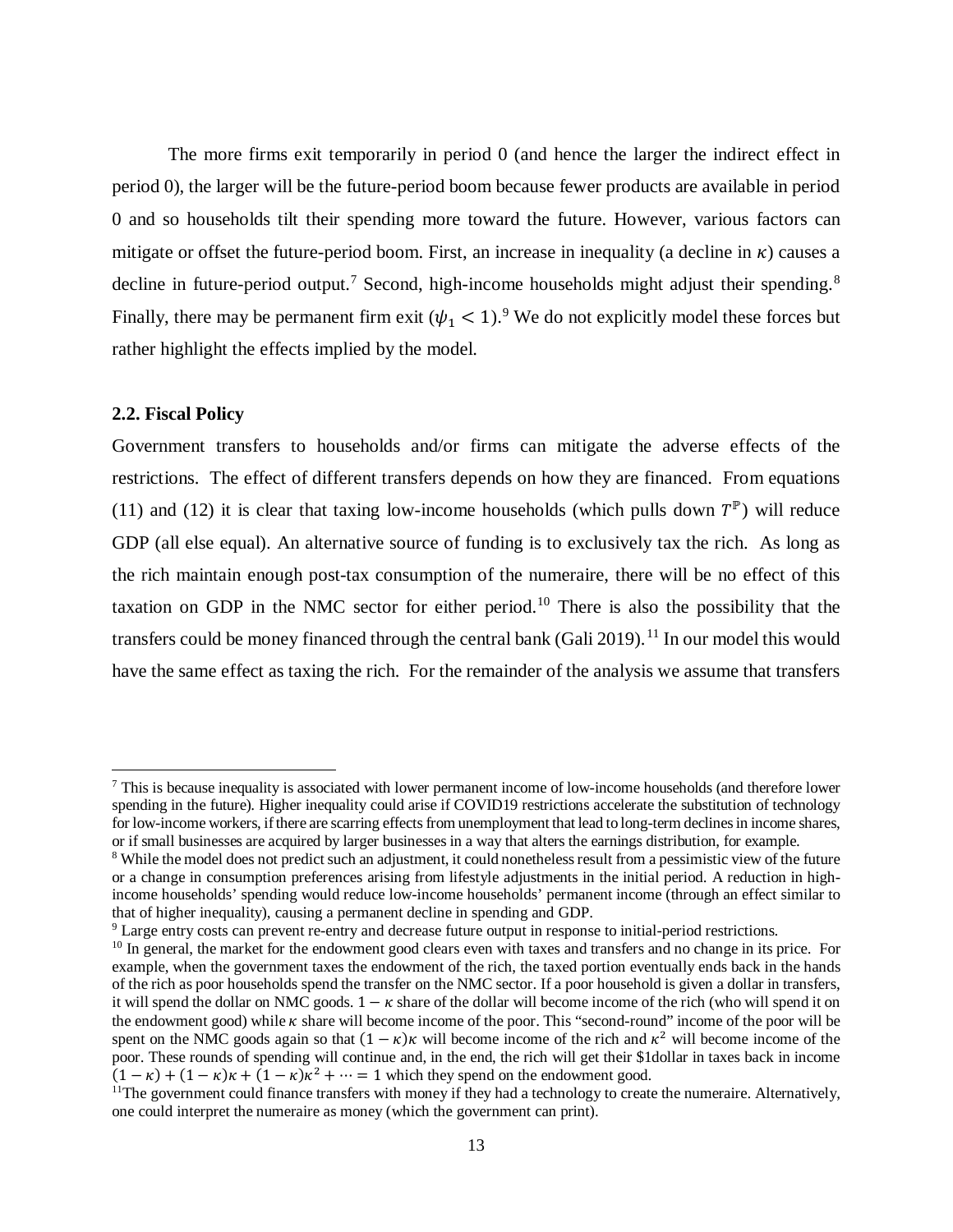The more firms exit temporarily in period 0 (and hence the larger the indirect effect in period 0), the larger will be the future-period boom because fewer products are available in period 0 and so households tilt their spending more toward the future. However, various factors can mitigate or offset the future-period boom. First, an increase in inequality (a decline in  $\kappa$ ) causes a decline in future-period output.<sup>[7](#page-14-0)</sup> Second, high-income households might adjust their spending.<sup>[8](#page-14-1)</sup> Finally, there may be permanent firm exit  $(\psi_1 < 1)$ .<sup>[9](#page-14-2)</sup> We do not explicitly model these forces but rather highlight the effects implied by the model.

# **2.2. Fiscal Policy**

 $\overline{\phantom{a}}$ 

Government transfers to households and/or firms can mitigate the adverse effects of the restrictions. The effect of different transfers depends on how they are financed. From equations [\(11\)](#page-9-0) and [\(12\)](#page-9-1) it is clear that taxing low-income households (which pulls down  $T^{\mathbb{P}}$ ) will reduce GDP (all else equal). An alternative source of funding is to exclusively tax the rich. As long as the rich maintain enough post-tax consumption of the numeraire, there will be no effect of this taxation on GDP in the NMC sector for either period.[10](#page-14-3) There is also the possibility that the transfers could be money financed through the central bank (Gali 2019).<sup>[11](#page-14-4)</sup> In our model this would have the same effect as taxing the rich. For the remainder of the analysis we assume that transfers

<span id="page-14-0"></span><sup>7</sup> This is because inequality is associated with lower permanent income of low-income households (and therefore lower spending in the future). Higher inequality could arise if COVID19 restrictions accelerate the substitution of technology for low-income workers, if there are scarring effects from unemployment that lead to long-term declines in income shares, or if small businesses are acquired by larger businesses in a way that alters the earnings distribution, for example.

<span id="page-14-1"></span><sup>&</sup>lt;sup>8</sup> While the model does not predict such an adjustment, it could nonetheless result from a pessimistic view of the future or a change in consumption preferences arising from lifestyle adjustments in the initial period. A reduction in highincome households' spending would reduce low-income households' permanent income (through an effect similar to that of higher inequality), causing a permanent decline in spending and GDP.

<span id="page-14-2"></span><sup>9</sup> Large entry costs can prevent re-entry and decrease future output in response to initial-period restrictions.

<span id="page-14-3"></span><sup>&</sup>lt;sup>10</sup> In general, the market for the endowment good clears even with taxes and transfers and no change in its price. For example, when the government taxes the endowment of the rich, the taxed portion eventually ends back in the hands of the rich as poor households spend the transfer on the NMC sector. If a poor household is given a dollar in transfers, it will spend the dollar on NMC goods.  $1 - \kappa$  share of the dollar will become income of the rich (who will spend it on the endowment good) while  $\kappa$  share will become income of the poor. This "second-round" income of the poor will be spent on the NMC goods again so that  $(1 - \kappa)\kappa$  will become income of the rich and  $\kappa^2$  will become income of the poor. These rounds of spending will continue and, in the end, the rich will get their \$1dollar in taxes back in income  $(1 - \kappa) + (1 - \kappa)\kappa + (1 - \kappa)\kappa^2 + \cdots = 1$  which they spend on the endowment good.

<span id="page-14-4"></span><sup>&</sup>lt;sup>11</sup>The government could finance transfers with money if they had a technology to create the numeraire. Alternatively, one could interpret the numeraire as money (which the government can print).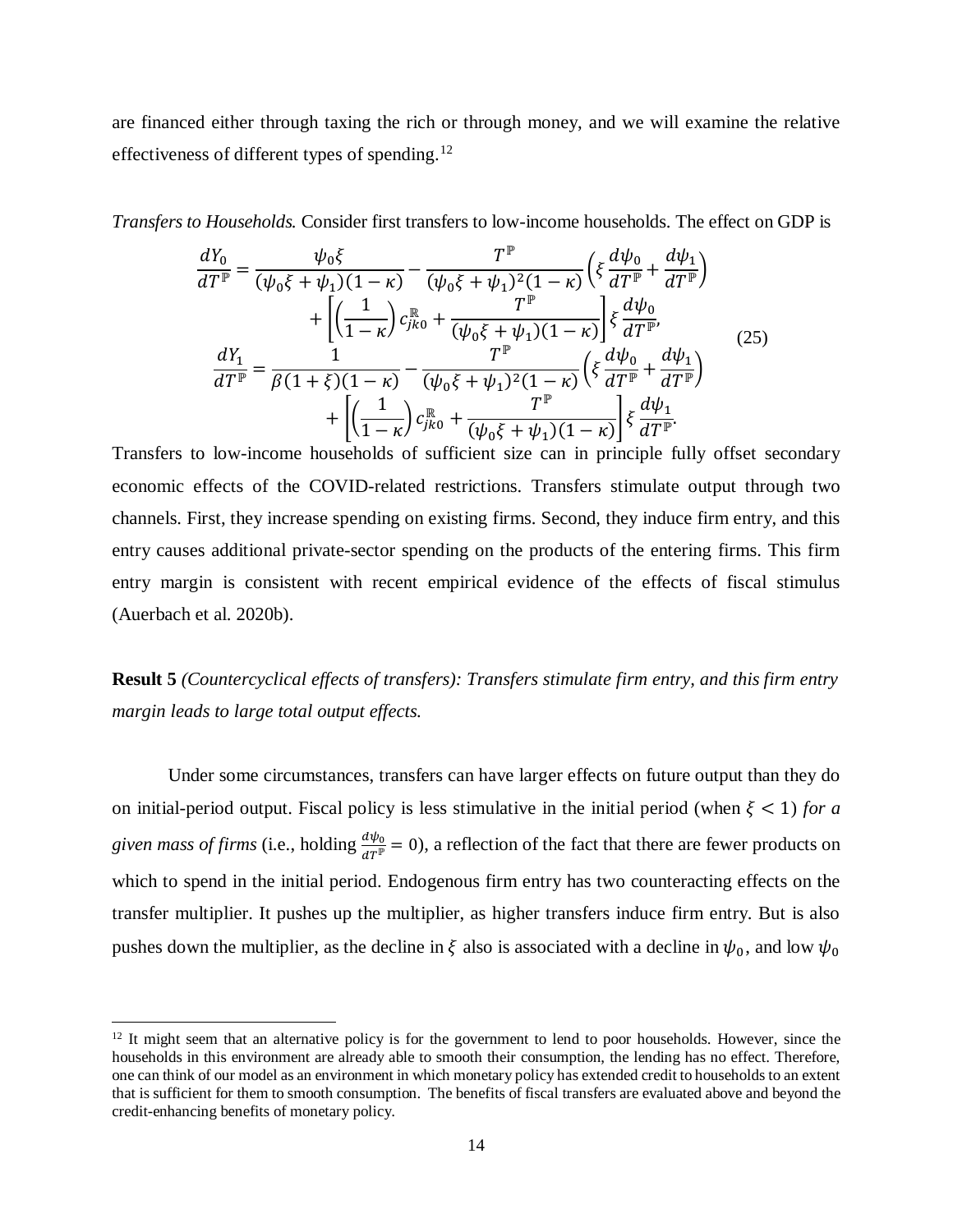are financed either through taxing the rich or through money, and we will examine the relative effectiveness of different types of spending.<sup>[12](#page-15-0)</sup>

*Transfers to Households.* Consider first transfers to low-income households. The effect on GDP is

$$
\frac{dY_0}{dT^{\mathbb{P}}} = \frac{\psi_0 \xi}{(\psi_0 \xi + \psi_1)(1 - \kappa)} - \frac{T^{\mathbb{P}}}{(\psi_0 \xi + \psi_1)^2 (1 - \kappa)} \left( \xi \frac{d\psi_0}{dT^{\mathbb{P}}} + \frac{d\psi_1}{dT^{\mathbb{P}}} \right) \n+ \left[ \left( \frac{1}{1 - \kappa} \right) c_{j\kappa 0}^{\mathbb{R}} + \frac{T^{\mathbb{P}}}{(\psi_0 \xi + \psi_1)(1 - \kappa)} \right] \xi \frac{d\psi_0}{dT^{\mathbb{P}}}, \n\frac{dY_1}{dT^{\mathbb{P}}} = \frac{1}{\beta (1 + \xi)(1 - \kappa)} - \frac{T^{\mathbb{P}}}{(\psi_0 \xi + \psi_1)^2 (1 - \kappa)} \left( \xi \frac{d\psi_0}{dT^{\mathbb{P}}} + \frac{d\psi_1}{dT^{\mathbb{P}}} \right) \n+ \left[ \left( \frac{1}{1 - \kappa} \right) c_{j\kappa 0}^{\mathbb{R}} + \frac{T^{\mathbb{P}}}{(\psi_0 \xi + \psi_1)(1 - \kappa)} \right] \xi \frac{d\psi_1}{dT^{\mathbb{P}}}.
$$
\n(25)

Transfers to low-income households of sufficient size can in principle fully offset secondary economic effects of the COVID-related restrictions. Transfers stimulate output through two channels. First, they increase spending on existing firms. Second, they induce firm entry, and this entry causes additional private-sector spending on the products of the entering firms. This firm entry margin is consistent with recent empirical evidence of the effects of fiscal stimulus (Auerbach et al. 2020b).

**Result 5** *(Countercyclical effects of transfers): Transfers stimulate firm entry, and this firm entry margin leads to large total output effects.*

Under some circumstances, transfers can have larger effects on future output than they do on initial-period output. Fiscal policy is less stimulative in the initial period (when  $\xi$  < 1) for a *given mass of firms* (i.e., holding  $\frac{d\psi_0}{dT} = 0$ ), a reflection of the fact that there are fewer products on which to spend in the initial period. Endogenous firm entry has two counteracting effects on the transfer multiplier. It pushes up the multiplier, as higher transfers induce firm entry. But is also pushes down the multiplier, as the decline in  $\xi$  also is associated with a decline in  $\psi_0$ , and low  $\psi_0$ 

 $\overline{\phantom{a}}$ 

<span id="page-15-0"></span> $12$  It might seem that an alternative policy is for the government to lend to poor households. However, since the households in this environment are already able to smooth their consumption, the lending has no effect. Therefore, one can think of our model as an environment in which monetary policy has extended credit to households to an extent that is sufficient for them to smooth consumption. The benefits of fiscal transfers are evaluated above and beyond the credit-enhancing benefits of monetary policy.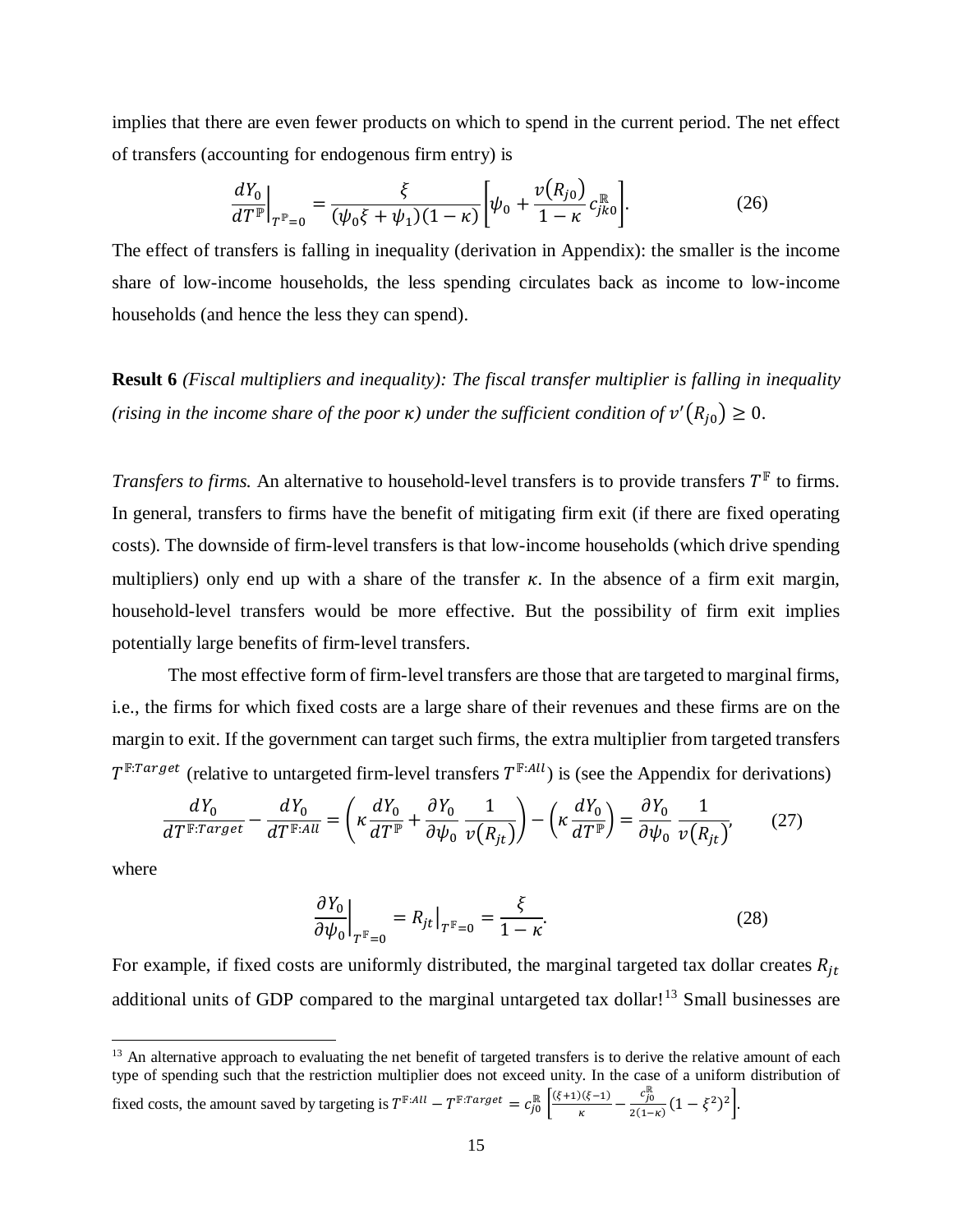implies that there are even fewer products on which to spend in the current period. The net effect of transfers (accounting for endogenous firm entry) is

$$
\left. \frac{dY_0}{dT^{\mathbb{P}}}\right|_{T^{\mathbb{P}}=0} = \frac{\xi}{(\psi_0 \xi + \psi_1)(1-\kappa)} \left[ \psi_0 + \frac{v(R_{j0})}{1-\kappa} c_{jk0}^{\mathbb{R}} \right].
$$
 (26)

The effect of transfers is falling in inequality (derivation in Appendix): the smaller is the income share of low-income households, the less spending circulates back as income to low-income households (and hence the less they can spend).

**Result 6** *(Fiscal multipliers and inequality): The fiscal transfer multiplier is falling in inequality (rising in the income share of the poor*  $\kappa$ *) under the sufficient condition of*  $v'(R_{j0}) \geq 0$ .

*Transfers to firms.* An alternative to household-level transfers is to provide transfers  $T^{\mathbb{F}}$  to firms. In general, transfers to firms have the benefit of mitigating firm exit (if there are fixed operating costs). The downside of firm-level transfers is that low-income households (which drive spending multipliers) only end up with a share of the transfer  $\kappa$ . In the absence of a firm exit margin, household-level transfers would be more effective. But the possibility of firm exit implies potentially large benefits of firm-level transfers.

The most effective form of firm-level transfers are those that are targeted to marginal firms, i.e., the firms for which fixed costs are a large share of their revenues and these firms are on the margin to exit. If the government can target such firms, the extra multiplier from targeted transfers  $T^{\mathbb{F}:Target}$  (relative to untargeted firm-level transfers  $T^{\mathbb{F}:All}$ ) is (see the Appendix for derivations)

$$
\frac{dY_0}{dT^{\mathbb{F}:Target}} - \frac{dY_0}{dT^{\mathbb{F}:All}} = \left(\kappa \frac{dY_0}{dT^{\mathbb{F}}} + \frac{\partial Y_0}{\partial \psi_0} \frac{1}{\nu(R_{jt})}\right) - \left(\kappa \frac{dY_0}{dT^{\mathbb{F}}}\right) = \frac{\partial Y_0}{\partial \psi_0} \frac{1}{\nu(R_{jt})},\tag{27}
$$

where

 $\overline{\phantom{a}}$ 

<span id="page-16-1"></span>
$$
\left. \frac{\partial Y_0}{\partial \psi_0} \right|_{T^{\mathbb{F}}=0} = R_{jt} \big|_{T^{\mathbb{F}}=0} = \frac{\xi}{1-\kappa}.
$$
 (28)

For example, if fixed costs are uniformly distributed, the marginal targeted tax dollar creates  $R_{jt}$ additional units of GDP compared to the marginal untargeted tax dollar!<sup>[13](#page-16-0)</sup> Small businesses are

<span id="page-16-0"></span><sup>13</sup> An alternative approach to evaluating the net benefit of targeted transfers is to derive the relative amount of each type of spending such that the restriction multiplier does not exceed unity. In the case of a uniform distribution of fixed costs, the amount saved by targeting is  $T^{\mathbb{F}:All} - T^{\mathbb{F}:Target} = c_{j0}^{\mathbb{R}} \left[ \frac{(\xi+1)(\xi-1)}{\kappa} - \frac{c_{j0}^{\mathbb{R}}}{2(1-\kappa)} \right]$  $\frac{(-y_0)}{2(1-\kappa)}(1-\xi^2)^2$ .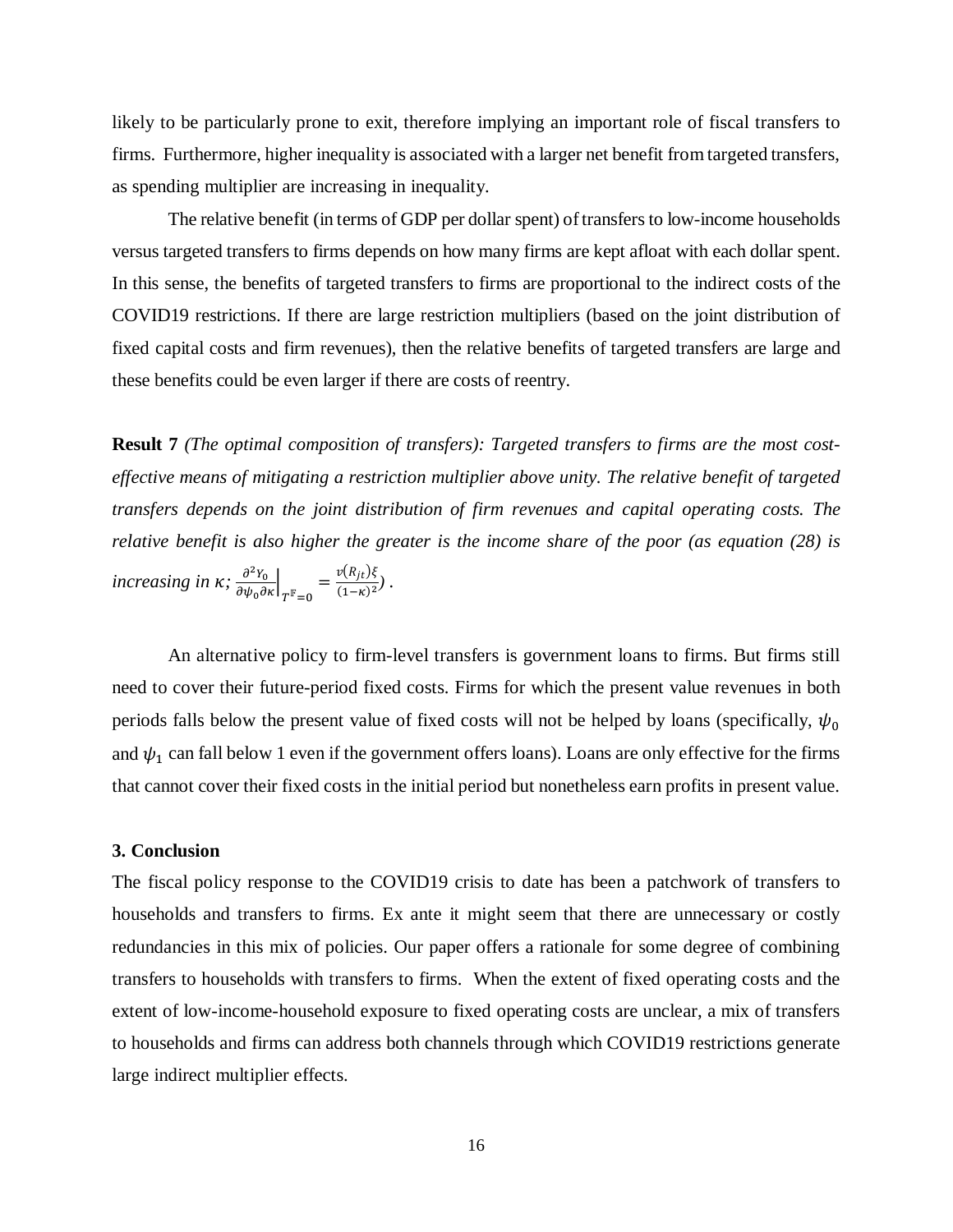likely to be particularly prone to exit, therefore implying an important role of fiscal transfers to firms. Furthermore, higher inequality is associated with a larger net benefit from targeted transfers, as spending multiplier are increasing in inequality.

The relative benefit (in terms of GDP per dollar spent) of transfers to low-income households versus targeted transfers to firms depends on how many firms are kept afloat with each dollar spent. In this sense, the benefits of targeted transfers to firms are proportional to the indirect costs of the COVID19 restrictions. If there are large restriction multipliers (based on the joint distribution of fixed capital costs and firm revenues), then the relative benefits of targeted transfers are large and these benefits could be even larger if there are costs of reentry.

**Result 7** *(The optimal composition of transfers): Targeted transfers to firms are the most costeffective means of mitigating a restriction multiplier above unity. The relative benefit of targeted transfers depends on the joint distribution of firm revenues and capital operating costs. The relative benefit is also higher the greater is the income share of the poor (as equation [\(28\)](#page-16-1) is increasing in K;*  $\frac{\partial^2 Y_0}{\partial \psi_0 \partial \kappa}\Big|_{T^{\mathbb{F}}=0} = \frac{v(R_{jt})\xi}{(1-\kappa)^2}$ .

An alternative policy to firm-level transfers is government loans to firms. But firms still need to cover their future-period fixed costs. Firms for which the present value revenues in both periods falls below the present value of fixed costs will not be helped by loans (specifically,  $\psi_0$ and  $\psi_1$  can fall below 1 even if the government offers loans). Loans are only effective for the firms that cannot cover their fixed costs in the initial period but nonetheless earn profits in present value.

### **3. Conclusion**

The fiscal policy response to the COVID19 crisis to date has been a patchwork of transfers to households and transfers to firms. Ex ante it might seem that there are unnecessary or costly redundancies in this mix of policies. Our paper offers a rationale for some degree of combining transfers to households with transfers to firms. When the extent of fixed operating costs and the extent of low-income-household exposure to fixed operating costs are unclear, a mix of transfers to households and firms can address both channels through which COVID19 restrictions generate large indirect multiplier effects.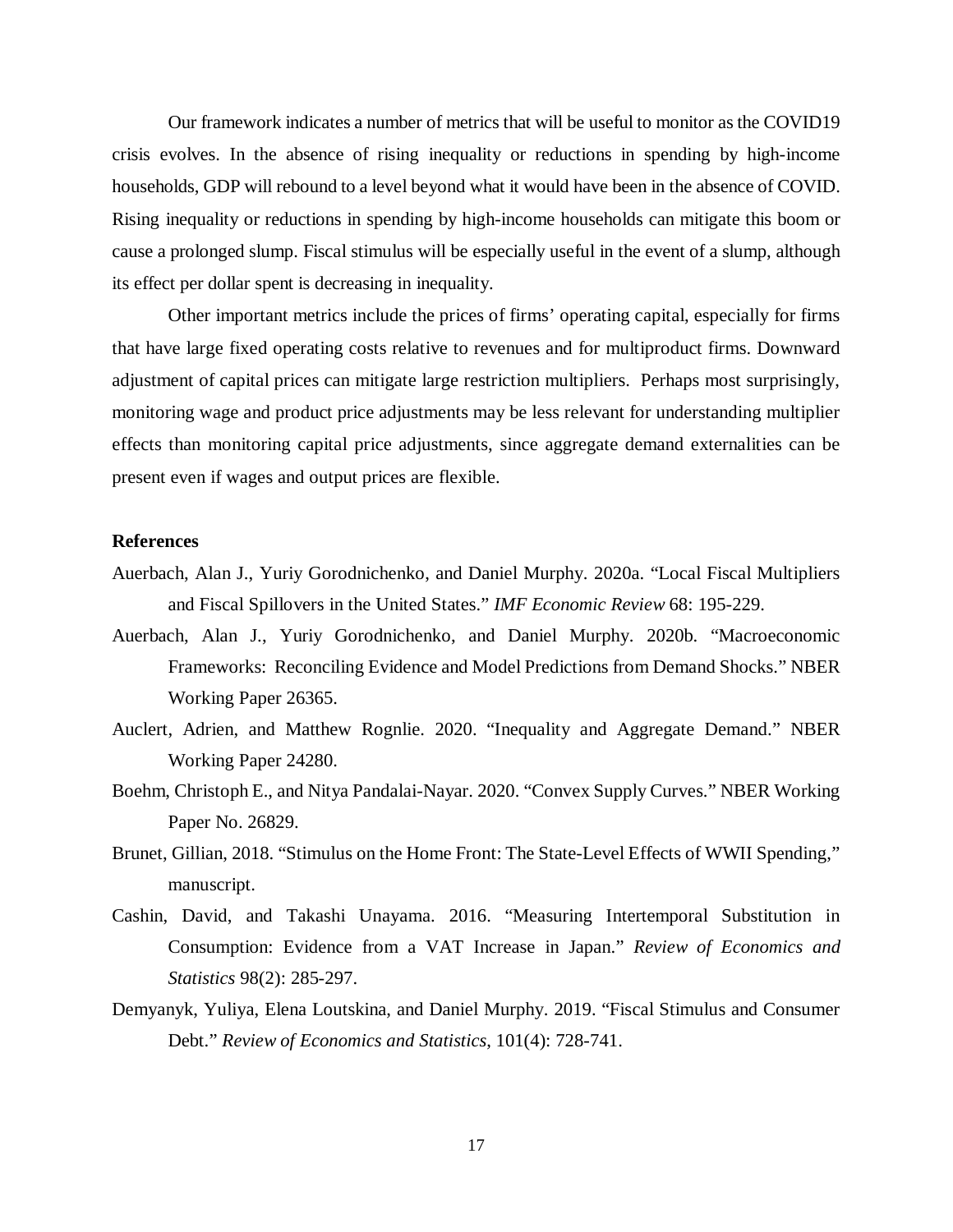Our framework indicates a number of metrics that will be useful to monitor as the COVID19 crisis evolves. In the absence of rising inequality or reductions in spending by high-income households, GDP will rebound to a level beyond what it would have been in the absence of COVID. Rising inequality or reductions in spending by high-income households can mitigate this boom or cause a prolonged slump. Fiscal stimulus will be especially useful in the event of a slump, although its effect per dollar spent is decreasing in inequality.

Other important metrics include the prices of firms' operating capital, especially for firms that have large fixed operating costs relative to revenues and for multiproduct firms. Downward adjustment of capital prices can mitigate large restriction multipliers. Perhaps most surprisingly, monitoring wage and product price adjustments may be less relevant for understanding multiplier effects than monitoring capital price adjustments, since aggregate demand externalities can be present even if wages and output prices are flexible.

#### **References**

- Auerbach, Alan J., Yuriy Gorodnichenko, and Daniel Murphy. 2020a. "Local Fiscal Multipliers and Fiscal Spillovers in the United States." *IMF Economic Review* 68: 195-229.
- Auerbach, Alan J., Yuriy Gorodnichenko, and Daniel Murphy. 2020b. "Macroeconomic Frameworks: Reconciling Evidence and Model Predictions from Demand Shocks." NBER Working Paper 26365.
- Auclert, Adrien, and Matthew Rognlie. 2020. "Inequality and Aggregate Demand." NBER Working Paper 24280.
- Boehm, Christoph E., and Nitya Pandalai-Nayar. 2020. "Convex Supply Curves." NBER Working Paper No. 26829.
- Brunet, Gillian, 2018. "Stimulus on the Home Front: The State-Level Effects of WWII Spending," manuscript.
- Cashin, David, and Takashi Unayama. 2016. "Measuring Intertemporal Substitution in Consumption: Evidence from a VAT Increase in Japan." *Review of Economics and Statistics* 98(2): 285-297.
- Demyanyk, Yuliya, Elena Loutskina, and Daniel Murphy. 2019. "Fiscal Stimulus and Consumer Debt." *Review of Economics and Statistics*, 101(4): 728-741.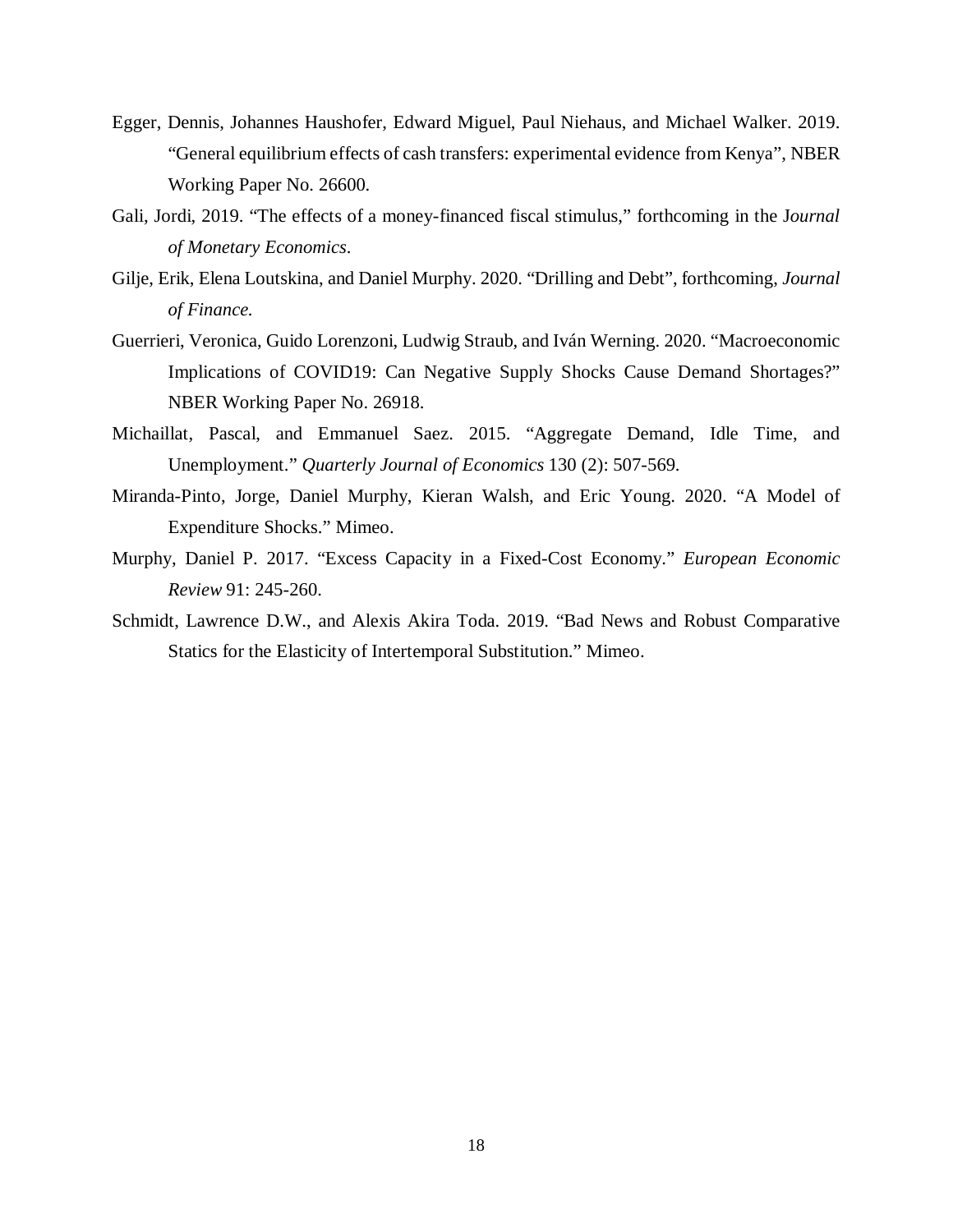- Egger, Dennis, Johannes Haushofer, Edward Miguel, Paul Niehaus, and Michael Walker. 2019. "General equilibrium effects of cash transfers: experimental evidence from Kenya", NBER Working Paper No. 26600.
- Gali, Jordi, 2019. "The effects of a money-financed fiscal stimulus," forthcoming in the J*ournal of Monetary Economics*.
- Gilje, Erik, Elena Loutskina, and Daniel Murphy. 2020. "Drilling and Debt", forthcoming, *Journal of Finance.*
- Guerrieri, Veronica, Guido Lorenzoni, Ludwig Straub, and Iván Werning. 2020. "Macroeconomic Implications of COVID19: Can Negative Supply Shocks Cause Demand Shortages?" NBER Working Paper No. 26918.
- Michaillat, Pascal, and Emmanuel Saez. 2015. "Aggregate Demand, Idle Time, and Unemployment." *Quarterly Journal of Economics* 130 (2): 507-569.
- Miranda-Pinto, Jorge, Daniel Murphy, Kieran Walsh, and Eric Young. 2020. "A Model of Expenditure Shocks." Mimeo.
- Murphy, Daniel P. 2017. "Excess Capacity in a Fixed-Cost Economy." *European Economic Review* 91: 245-260.
- Schmidt, Lawrence D.W., and Alexis Akira Toda. 2019. "Bad News and Robust Comparative Statics for the Elasticity of Intertemporal Substitution." Mimeo.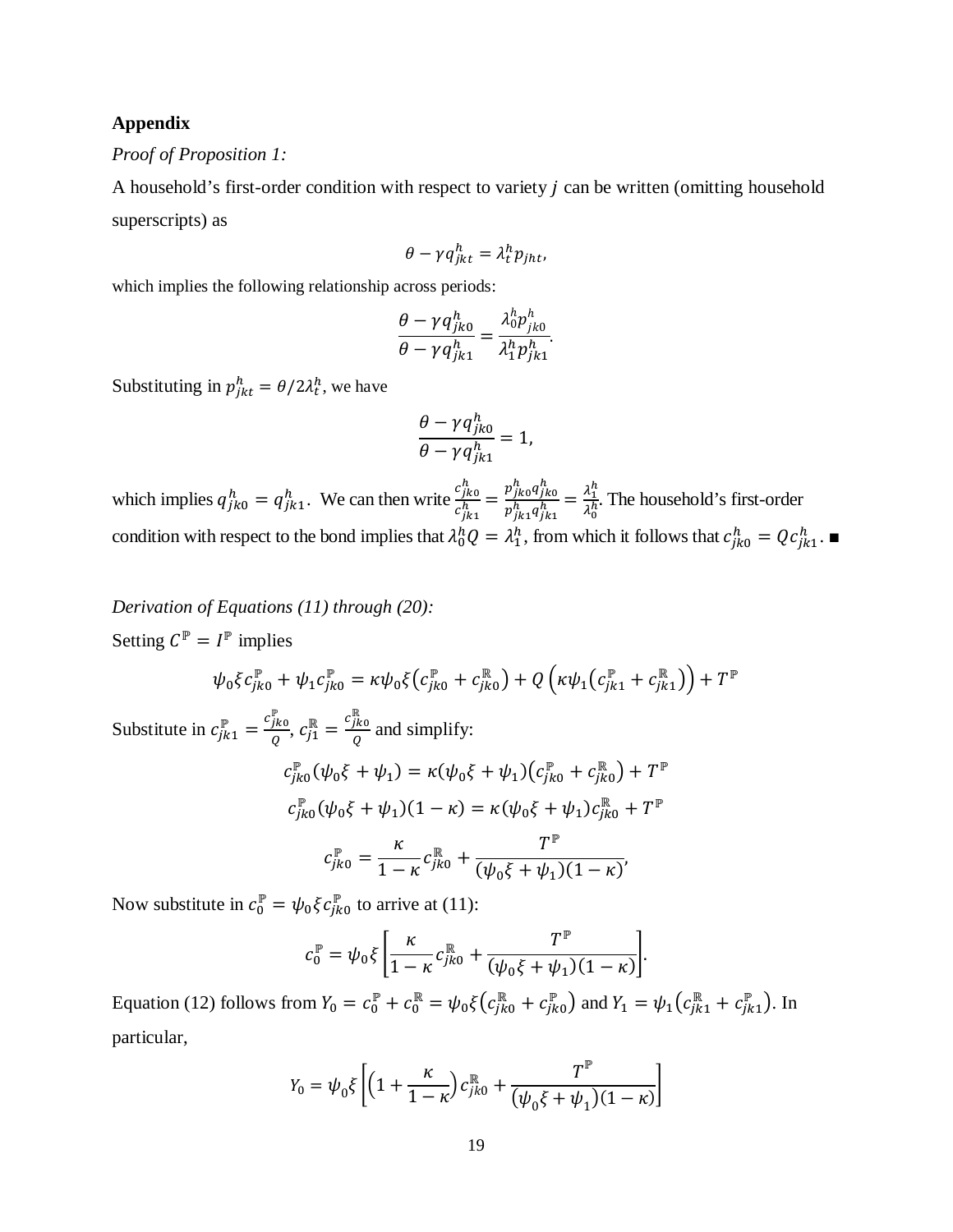## **Appendix**

## *Proof of Proposition 1:*

A household's first-order condition with respect to variety  $j$  can be written (omitting household superscripts) as

$$
\theta - \gamma q_{jkt}^h = \lambda_t^h p_{jht},
$$

which implies the following relationship across periods:

$$
\frac{\theta - \gamma q_{jk0}^h}{\theta - \gamma q_{jk1}^h} = \frac{\lambda_0^h p_{jk0}^h}{\lambda_1^h p_{jk1}^h}.
$$

Substituting in  $p_{jkt}^h = \theta/2\lambda_t^h$ , we have

$$
\frac{\theta - \gamma q_{jk0}^h}{\theta - \gamma q_{jk1}^h} = 1,
$$

which implies  $q_{jk0}^h = q_{jk1}^h$ . We can then write  $\frac{c_{jk0}^h}{c_{jk1}^h} = \frac{p_{jk0}^h q_{jk0}^h}{p_{jk1}^h q_{jk1}^h} = \frac{\lambda_1^h}{\lambda_0^h}$  $\frac{\lambda_1}{\lambda_0^h}$ . The household's first-order condition with respect to the bond implies that  $\lambda_0^h Q = \lambda_1^h$ , from which it follows that  $c_{jk0}^h = Qc_{jk1}^h$ .

*Derivation of Equations [\(11\)](#page-9-0) through [\(20\):](#page-11-0)*  Setting  $C^{\mathbb{P}} = I^{\mathbb{P}}$  implies

$$
\psi_0 \xi c_{jk0}^{\mathbb{P}} + \psi_1 c_{jk0}^{\mathbb{P}} = \kappa \psi_0 \xi \big( c_{jk0}^{\mathbb{P}} + c_{jk0}^{\mathbb{R}} \big) + Q \left( \kappa \psi_1 \big( c_{jk1}^{\mathbb{P}} + c_{jk1}^{\mathbb{R}} \big) \right) + T^{\mathbb{P}}
$$

Substitute in  $c_{jk1}^{\mathbb{P}} = \frac{c_{jk0}^{\mathbb{P}}}{Q}$ ,  $c_{j1}^{\mathbb{R}} = \frac{c_{jk0}^{\mathbb{R}}}{Q}$  and simplify:  $c_{jk0}^{\mathbb{P}}(\psi_0 \xi + \psi_1) = \kappa (\psi_0 \xi + \psi_1)(c_{jk0}^{\mathbb{P}} + c_{jk0}^{\mathbb{R}}) + T^{\mathbb{P}}$  $c_{jk0}^{\mathbb{P}}(\psi_0 \xi + \psi_1)(1 - \kappa) = \kappa(\psi_0 \xi + \psi_1)c_{jk0}^{\mathbb{R}} + T^{\mathbb{P}}$  $c_{jk0}^{\mathbb{P}} = \frac{\kappa}{1-\kappa} c_{jk0}^{\mathbb{R}} +$  $T^{\mathbb{P}}$  $(\psi_0 \xi + \psi_1)(1 - \kappa)'$ 

Now substitute in  $c_0^{\mathbb{P}} = \psi_0 \xi c_{jk_0}^{\mathbb{P}}$  to arrive at [\(11\):](#page-9-0)

$$
c_0^{\mathbb{P}} = \psi_0 \xi \left[ \frac{\kappa}{1-\kappa} c_{jk0}^{\mathbb{R}} + \frac{T^{\mathbb{P}}}{(\psi_0 \xi + \psi_1)(1-\kappa)} \right].
$$

Equation [\(12\)](#page-9-1) follows from  $Y_0 = c_0^{\mathbb{P}} + c_0^{\mathbb{R}} = \psi_0 \xi (c_{jk0}^{\mathbb{R}} + c_{jk0}^{\mathbb{P}})$  and  $Y_1 = \psi_1 (c_{jk1}^{\mathbb{R}} + c_{jk1}^{\mathbb{P}})$ . In particular,

$$
Y_0 = \psi_0 \xi \left[ \left( 1 + \frac{\kappa}{1 - \kappa} \right) c_{jk0}^{\mathbb{R}} + \frac{T^{\mathbb{P}}}{(\psi_0 \xi + \psi_1)(1 - \kappa)} \right]
$$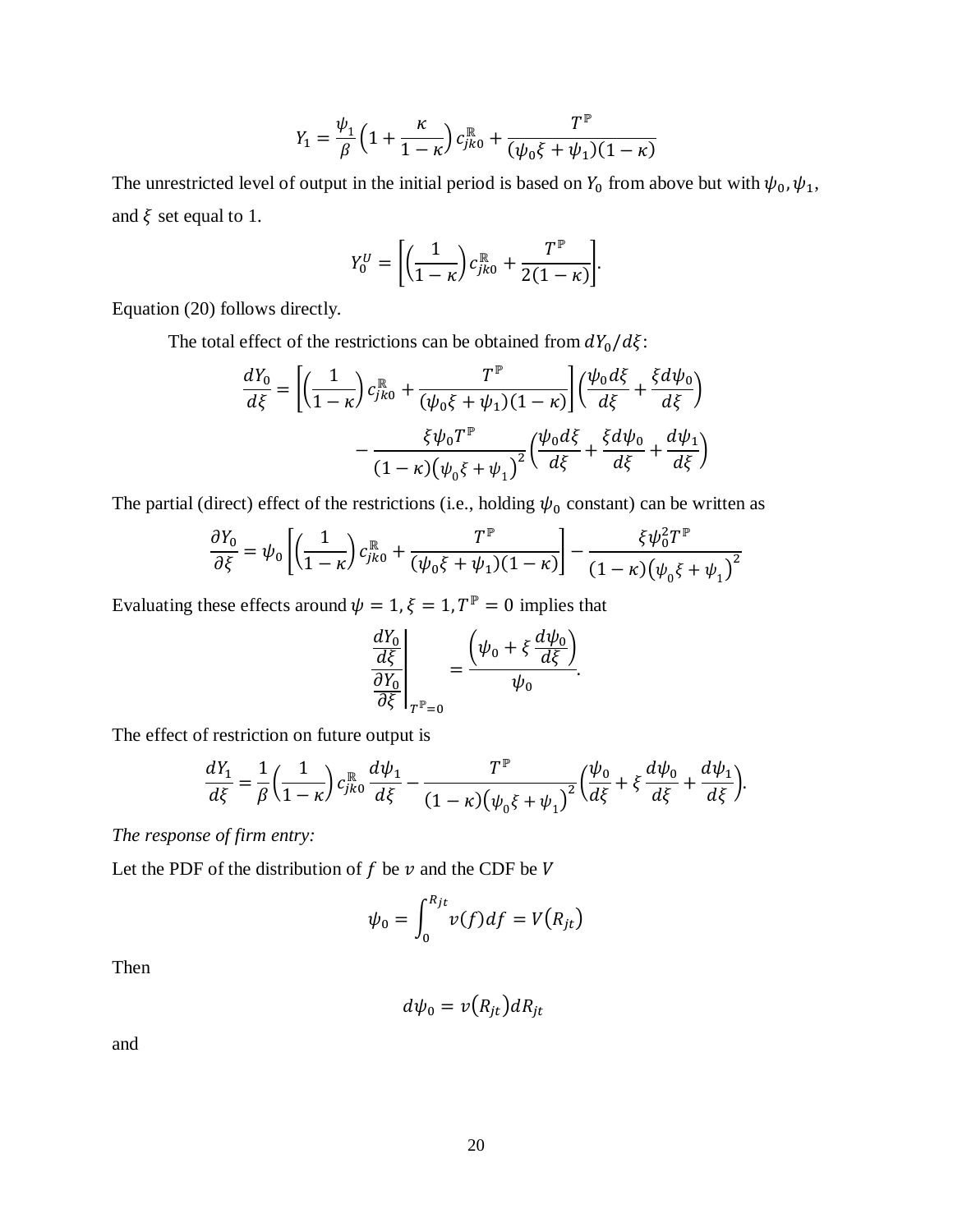$$
Y_1 = \frac{\psi_1}{\beta} \left( 1 + \frac{\kappa}{1 - \kappa} \right) c_{jk0}^{\mathbb{R}} + \frac{T^{\mathbb{P}}}{(\psi_0 \xi + \psi_1)(1 - \kappa)}
$$

The unrestricted level of output in the initial period is based on  $Y_0$  from above but with  $\psi_0$ ,  $\psi_1$ , and  $\xi$  set equal to 1.

$$
Y_0^U = \left[ \left( \frac{1}{1-\kappa} \right) c_{jk0}^{\mathbb{R}} + \frac{T^{\mathbb{P}}}{2(1-\kappa)} \right].
$$

Equation [\(20\)](#page-11-0) follows directly.

The total effect of the restrictions can be obtained from  $dY_0/d\xi$ :

$$
\frac{dY_0}{d\xi} = \left[ \left( \frac{1}{1-\kappa} \right) c_{jk0}^{\mathbb{R}} + \frac{T^{\mathbb{P}}}{(\psi_0 \xi + \psi_1)(1-\kappa)} \right] \left( \frac{\psi_0 d\xi}{d\xi} + \frac{\xi d\psi_0}{d\xi} \right)
$$

$$
- \frac{\xi \psi_0 T^{\mathbb{P}}}{(1-\kappa)(\psi_0 \xi + \psi_1)^2} \left( \frac{\psi_0 d\xi}{d\xi} + \frac{\xi d\psi_0}{d\xi} + \frac{d\psi_1}{d\xi} \right)
$$

The partial (direct) effect of the restrictions (i.e., holding  $\psi_0$  constant) can be written as

$$
\frac{\partial Y_0}{\partial \xi} = \psi_0 \left[ \left( \frac{1}{1 - \kappa} \right) c_{jk0}^{\mathbb{R}} + \frac{T^{\mathbb{P}}}{(\psi_0 \xi + \psi_1)(1 - \kappa)} \right] - \frac{\xi \psi_0^2 T^{\mathbb{P}}}{(1 - \kappa) (\psi_0 \xi + \psi_1)^2}
$$

Evaluating these effects around  $\psi = 1, \xi = 1, T^{\mathbb{P}} = 0$  implies that

$$
\left. \frac{\frac{dY_0}{d\xi}}{\frac{\partial Y_0}{\partial \xi}} \right|_{T^{\mathbb{P}}=0} = \frac{\left(\psi_0 + \xi \frac{d\psi_0}{d\xi}\right)}{\psi_0}.
$$

The effect of restriction on future output is

$$
\frac{dY_1}{d\xi} = \frac{1}{\beta} \left( \frac{1}{1-\kappa} \right) c_{jk0}^{\mathbb{R}} \frac{d\psi_1}{d\xi} - \frac{T^{\mathbb{P}}}{(1-\kappa) (\psi_0 \xi + \psi_1)^2} \left( \frac{\psi_0}{d\xi} + \xi \frac{d\psi_0}{d\xi} + \frac{d\psi_1}{d\xi} \right).
$$

*The response of firm entry:* 

Let the PDF of the distribution of  $f$  be  $\nu$  and the CDF be  $V$ 

$$
\psi_0 = \int_0^{R_{jt}} v(f) df = V(R_{jt})
$$

Then

$$
d\psi_0 = v(R_{jt})dR_{jt}
$$

and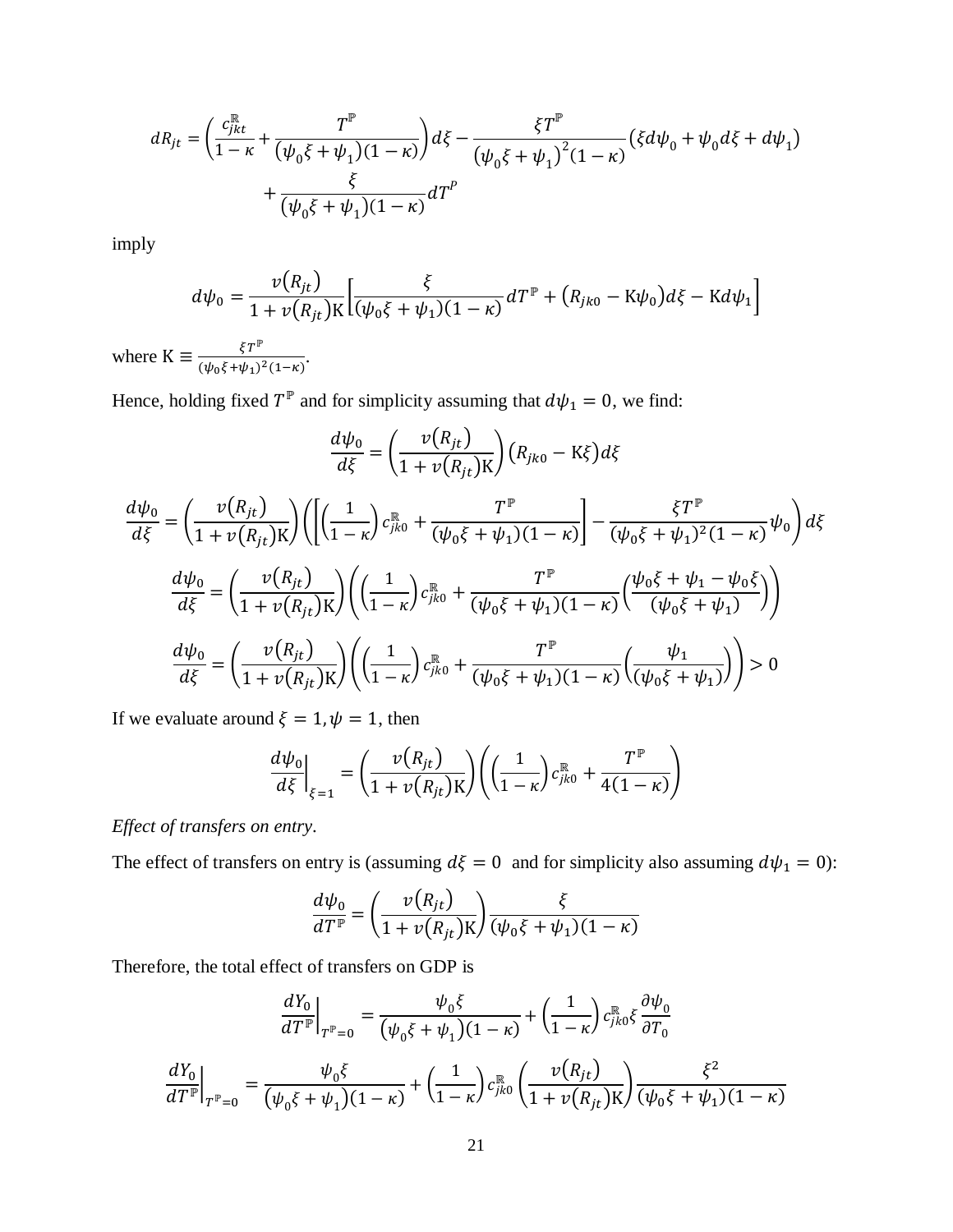$$
dR_{jt} = \left(\frac{c_{jkt}^{\mathbb{R}}}{1-\kappa} + \frac{T^{\mathbb{P}}}{(\psi_0 \xi + \psi_1)(1-\kappa)}\right) d\xi - \frac{\xi T^{\mathbb{P}}}{(\psi_0 \xi + \psi_1)^2 (1-\kappa)} (\xi d\psi_0 + \psi_0 d\xi + d\psi_1) + \frac{\xi}{(\psi_0 \xi + \psi_1)(1-\kappa)} dT^P
$$

imply

$$
d\psi_0 = \frac{v(R_{jt})}{1 + v(R_{jt})K} \Big[ \frac{\xi}{(\psi_0 \xi + \psi_1)(1 - \kappa)} dT^{\mathbb{P}} + (R_{jk0} - K\psi_0) d\xi - K d\psi_1 \Big]
$$

where  $K \equiv \frac{\xi T^{\mathbb{P}}}{(\psi_0 \xi + \psi_1)^2 (1 - \kappa)}$ .

Hence, holding fixed  $T^{\mathbb{P}}$  and for simplicity assuming that  $d\psi_1 = 0$ , we find:

$$
\frac{d\psi_{0}}{d\xi} = \left(\frac{v(R_{jt})}{1 + v(R_{jt})K}\right) (R_{jk0} - K\xi) d\xi
$$
\n
$$
\frac{d\psi_{0}}{d\xi} = \left(\frac{v(R_{jt})}{1 + v(R_{jt})K}\right) \left( \left[ \left( \frac{1}{1 - \kappa} \right) c_{jk0}^{\mathbb{R}} + \frac{T^{\mathbb{P}}}{(\psi_{0}\xi + \psi_{1})(1 - \kappa)} \right] - \frac{\xi T^{\mathbb{P}}}{(\psi_{0}\xi + \psi_{1})^{2}(1 - \kappa)} \psi_{0} \right) d\xi
$$
\n
$$
\frac{d\psi_{0}}{d\xi} = \left(\frac{v(R_{jt})}{1 + v(R_{jt})K}\right) \left( \left( \frac{1}{1 - \kappa} \right) c_{jk0}^{\mathbb{R}} + \frac{T^{\mathbb{P}}}{(\psi_{0}\xi + \psi_{1})(1 - \kappa)} \left( \frac{\psi_{0}\xi + \psi_{1} - \psi_{0}\xi}{(\psi_{0}\xi + \psi_{1})}\right) \right)
$$
\n
$$
\frac{d\psi_{0}}{d\xi} = \left(\frac{v(R_{jt})}{1 + v(R_{jt})K}\right) \left( \left( \frac{1}{1 - \kappa} \right) c_{jk0}^{\mathbb{R}} + \frac{T^{\mathbb{P}}}{(\psi_{0}\xi + \psi_{1})(1 - \kappa)} \left( \frac{\psi_{1}}{(\psi_{0}\xi + \psi_{1})}\right) \right) > 0
$$

If we evaluate around  $\xi = 1, \psi = 1$ , then

$$
\left. \frac{d\psi_0}{d\xi} \right|_{\xi=1} = \left( \frac{\nu(R_{jt})}{1 + \nu(R_{jt})K} \right) \left( \left( \frac{1}{1 - \kappa} \right) c_{jk0}^{\mathbb{R}} + \frac{T^{\mathbb{P}}}{4(1 - \kappa)} \right)
$$

Effect of transfers on entry.

The effect of transfers on entry is (assuming  $d\xi = 0$  and for simplicity also assuming  $d\psi_1 = 0$ ):

$$
\frac{d\psi_0}{dT^{\mathbb{P}}} = \left(\frac{\nu(R_{jt})}{1 + \nu(R_{jt})\mathbf{K}}\right) \frac{\xi}{(\psi_0 \xi + \psi_1)(1 - \kappa)}
$$

Therefore, the total effect of transfers on GDP is

$$
\frac{dY_0}{dT^{\mathbb{P}}}\Big|_{T^{\mathbb{P}}=0} = \frac{\psi_0 \xi}{(\psi_0 \xi + \psi_1)(1 - \kappa)} + \left(\frac{1}{1 - \kappa}\right) c_{jk0}^{\mathbb{R}} \xi \frac{\partial \psi_0}{\partial T_0}
$$
\n
$$
\frac{dY_0}{dT^{\mathbb{P}}}\Big|_{T^{\mathbb{P}}=0} = \frac{\psi_0 \xi}{(\psi_0 \xi + \psi_1)(1 - \kappa)} + \left(\frac{1}{1 - \kappa}\right) c_{jk0}^{\mathbb{R}} \left(\frac{\nu(R_{jt})}{1 + \nu(R_{jt})K}\right) \frac{\xi^2}{(\psi_0 \xi + \psi_1)(1 - \kappa)}
$$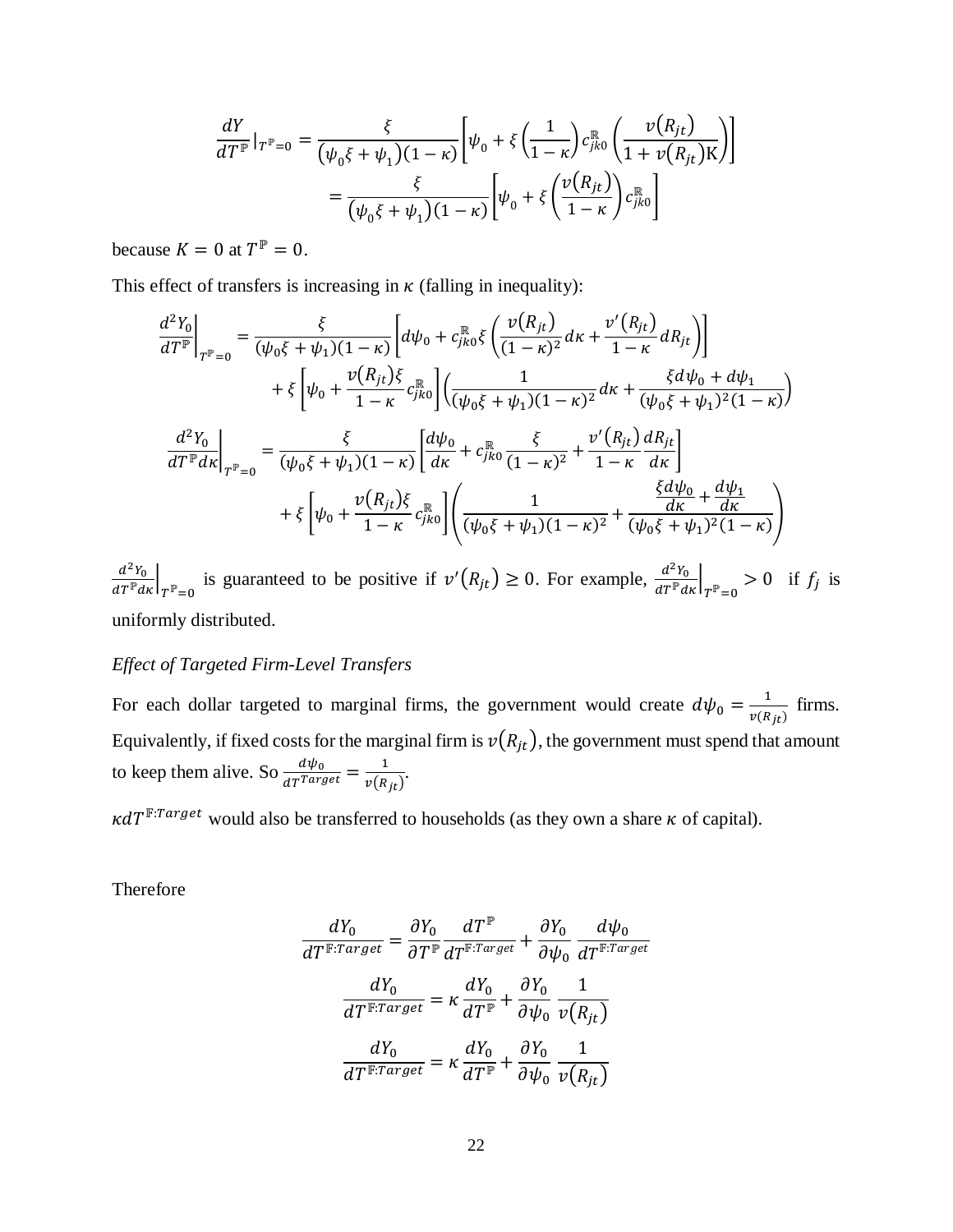$$
\frac{dY}{dT^{\mathbb{P}}}\big|_{T^{\mathbb{P}}=0} = \frac{\xi}{(\psi_0 \xi + \psi_1)(1 - \kappa)} \bigg[ \psi_0 + \xi \left( \frac{1}{1 - \kappa} \right) c_{jk0}^{\mathbb{R}} \left( \frac{\nu(R_{jt})}{1 + \nu(R_{jt})K} \right) \bigg]
$$

$$
= \frac{\xi}{(\psi_0 \xi + \psi_1)(1 - \kappa)} \bigg[ \psi_0 + \xi \left( \frac{\nu(R_{jt})}{1 - \kappa} \right) c_{jk0}^{\mathbb{R}} \bigg]
$$

because  $K = 0$  at  $T^{\mathbb{P}} = 0$ .

This effect of transfers is increasing in  $\kappa$  (falling in inequality):

$$
\frac{d^2Y_0}{dT^{\mathbb{P}}}\Big|_{T^{\mathbb{P}}=0} = \frac{\xi}{(\psi_0 \xi + \psi_1)(1 - \kappa)} \Bigg[ d\psi_0 + c_{jk0}^{\mathbb{R}} \xi \left( \frac{\nu(R_{jt})}{(1 - \kappa)^2} dx + \frac{\nu'(R_{jt})}{1 - \kappa} dR_{jt} \right) \Bigg] \n+ \xi \Big[ \psi_0 + \frac{\nu(R_{jt})\xi}{1 - \kappa} c_{jk0}^{\mathbb{R}} \Big] \Big( \frac{1}{(\psi_0 \xi + \psi_1)(1 - \kappa)^2} dx + \frac{\xi d\psi_0 + d\psi_1}{(\psi_0 \xi + \psi_1)^2 (1 - \kappa)} \Big) \n\frac{d^2Y_0}{dT^{\mathbb{P}} dx} \Big|_{T^{\mathbb{P}}=0} = \frac{\xi}{(\psi_0 \xi + \psi_1)(1 - \kappa)} \Bigg[ \frac{d\psi_0}{dx} + c_{jk0}^{\mathbb{R}} \frac{\xi}{(1 - \kappa)^2} + \frac{\nu'(R_{jt})}{1 - \kappa} \frac{dR_{jt}}{dx} \Bigg] \n+ \xi \Big[ \psi_0 + \frac{\nu(R_{jt})\xi}{1 - \kappa} c_{jk0}^{\mathbb{R}} \Big] \Bigg( \frac{1}{(\psi_0 \xi + \psi_1)(1 - \kappa)^2} + \frac{\xi d\psi_0}{(\psi_0 \xi + \psi_1)^2 (1 - \kappa)} \Bigg)
$$

 $\frac{d^2Y_0}{dT^{\mathbb{P}}dx}\Big|_{T^{\mathbb{P}}=0}$  is guaranteed to be positive if  $v'(R_{jt}) \ge 0$ . For example,  $\frac{d^2Y_0}{dT^{\mathbb{P}}dx}\Big|_{T^{\mathbb{P}}=0} > 0$  if  $f_j$  is uniformly distributed.

#### *Effect of Targeted Firm-Level Transfers*

For each dollar targeted to marginal firms, the government would create  $d\psi_0 = \frac{1}{v(R_{jt})}$  firms. Equivalently, if fixed costs for the marginal firm is  $v(R_{jt})$ , the government must spend that amount to keep them alive. So  $\frac{d\psi_0}{dT^{Target}} = \frac{1}{v(R_{jt})}$ .

 $\kappa dT^{\text{F}:Target}$  would also be transferred to households (as they own a share  $\kappa$  of capital).

Therefore

$$
\frac{dY_0}{dT^{\mathbb{F}:Target}} = \frac{\partial Y_0}{\partial T^{\mathbb{P}}} \frac{dT^{\mathbb{P}}}{dT^{\mathbb{F}:Target}} + \frac{\partial Y_0}{\partial \psi_0} \frac{d\psi_0}{dT^{\mathbb{F}:Target}}
$$

$$
\frac{dY_0}{dT^{\mathbb{F}:Target}} = \kappa \frac{dY_0}{dT^{\mathbb{P}}} + \frac{\partial Y_0}{\partial \psi_0} \frac{1}{\nu(R_{jt})}
$$

$$
\frac{dY_0}{dT^{\mathbb{F}:Target}} = \kappa \frac{dY_0}{dT^{\mathbb{P}}} + \frac{\partial Y_0}{\partial \psi_0} \frac{1}{\nu(R_{jt})}
$$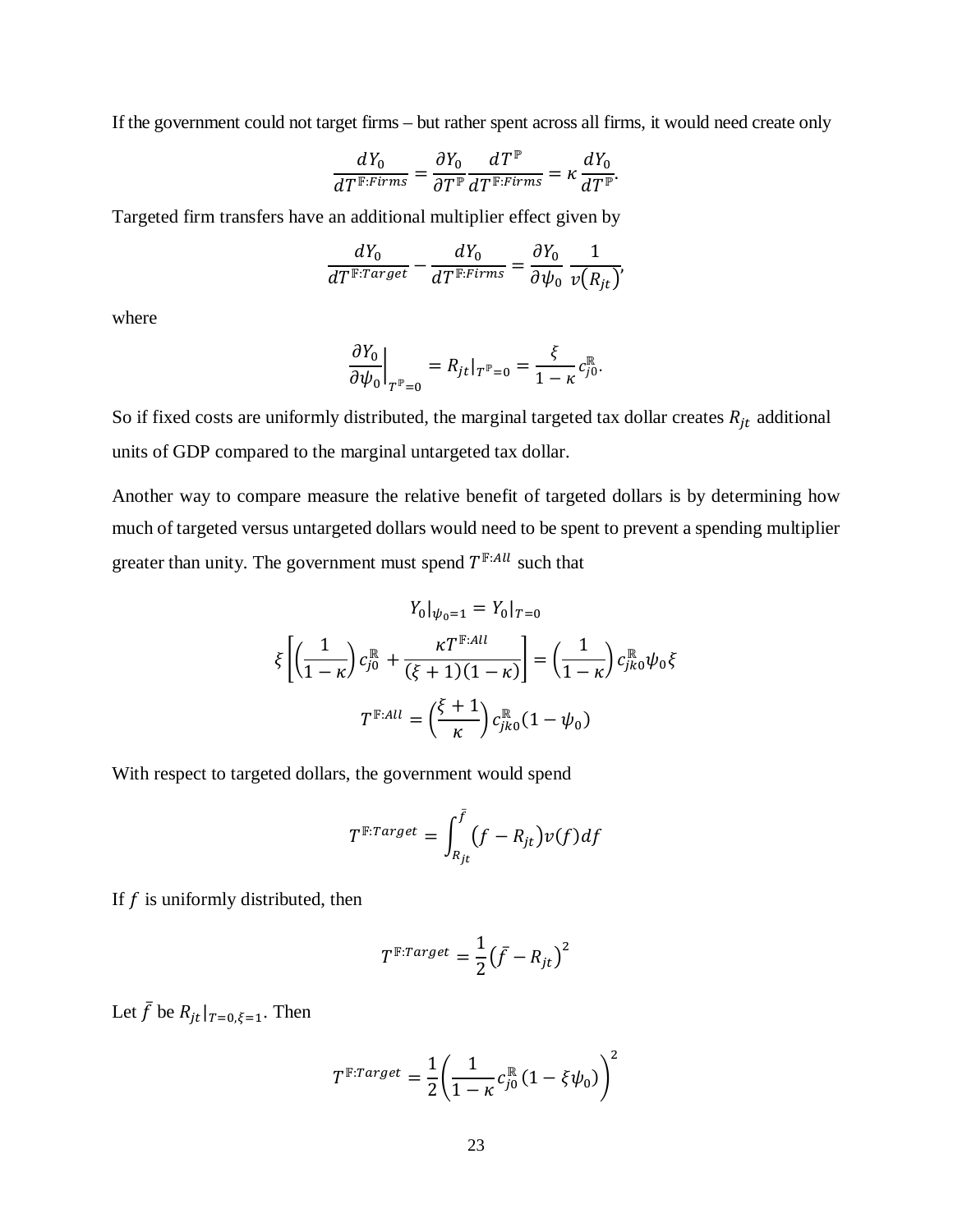If the government could not target firms – but rather spent across all firms, it would need create only

$$
\frac{dY_0}{dT^{\mathbb{F}:Firms}} = \frac{\partial Y_0}{\partial T^{\mathbb{P}}} \frac{dT^{\mathbb{P}}}{dT^{\mathbb{F}:Firms}} = \kappa \frac{dY_0}{dT^{\mathbb{P}}}.
$$

Targeted firm transfers have an additional multiplier effect given by

$$
\frac{dY_0}{dT^{\mathbb{F}:Target}} - \frac{dY_0}{dT^{\mathbb{F}:Firms}} = \frac{\partial Y_0}{\partial \psi_0} \frac{1}{\nu(R_{jt})}
$$

,

where

$$
\left. \frac{\partial Y_0}{\partial \psi_0} \right|_{T^{\mathbb{P}}=0} = R_{jt}|_{T^{\mathbb{P}}=0} = \frac{\xi}{1-\kappa} c_{j0}^{\mathbb{R}}.
$$

So if fixed costs are uniformly distributed, the marginal targeted tax dollar creates  $R_{it}$  additional units of GDP compared to the marginal untargeted tax dollar.

Another way to compare measure the relative benefit of targeted dollars is by determining how much of targeted versus untargeted dollars would need to be spent to prevent a spending multiplier greater than unity. The government must spend  $T^{F:All}$  such that

$$
Y_0|_{\psi_0=1} = Y_0|_{T=0}
$$
  

$$
\xi \left[ \left( \frac{1}{1-\kappa} \right) c_{j0}^{\mathbb{R}} + \frac{\kappa T^{\mathbb{F}:All}}{(\xi+1)(1-\kappa)} \right] = \left( \frac{1}{1-\kappa} \right) c_{jk0}^{\mathbb{R}} \psi_0 \xi
$$
  

$$
T^{\mathbb{F}:All} = \left( \frac{\xi+1}{\kappa} \right) c_{jk0}^{\mathbb{R}} (1-\psi_0)
$$

With respect to targeted dollars, the government would spend

$$
T^{\mathbb{F}:Target} = \int_{R_{jt}}^{\bar{f}} (f - R_{jt}) \nu(f) df
$$

If  $f$  is uniformly distributed, then

$$
T^{\mathbb{F}:Target} = \frac{1}{2}(\bar{f} - R_{jt})^2
$$

Let  $\bar{f}$  be  $R_{it}|_{T=0,\xi=1}$ . Then

$$
T^{\mathbb{F}:Target} = \frac{1}{2} \left( \frac{1}{1-\kappa} c_{j0}^{\mathbb{R}} \left( 1 - \xi \psi_0 \right) \right)^2
$$